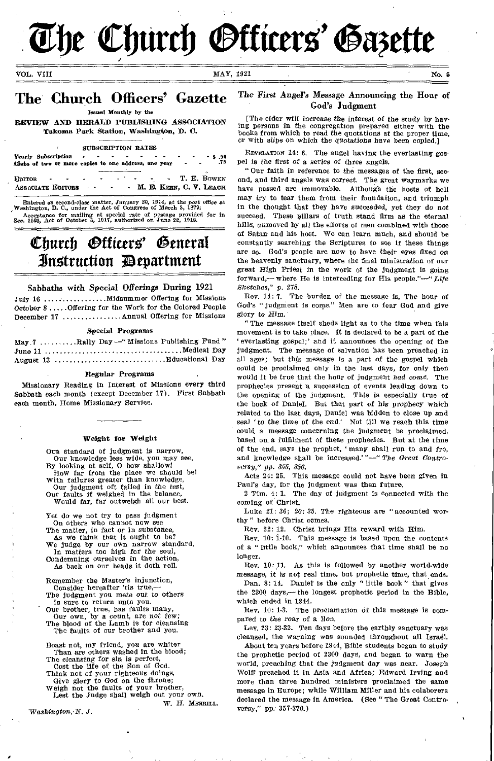The Church *Otticers' Gazette* 

VOL. VIII No. 5 No. 5 No. 5 No. 5 No. 5 No. 5 No. 5

# The Church Officers' Gazette

Issued Monthly by the

REVIEW AND HERALD PUBLISHING ASSOCIATION Takoma Park Station, Washington, D. C.

SUBSCRIPTION RATES

Yearly *Subscription* s - - - - - - \$ .90 Clubs of two or more copies to one address, one year  $\overline{a}$ EDITOR - - - - - - - - T. E. BOWEN

ASSOCIATE EDITORS • • • • M. E. KERN, C. V. LEACH

Entered as second-class matter, January 20, *1914,* at the post *office* at Washington, D. C., under the Act of Congress of March 3, 1879. Acceptance for mailing at special rate of postage provided for in *See. 1103,* Act of October 8, 1917, authorized on June 22, 1918.

# Church Officers' General Instruction *Department*

# Sabbaths with Special *Offerings* During 1921

July 16 Midsummer Offering for Missions October 8.... Offering for the Work for the Colored People December 17 ................ Annual Offering for Missions

#### Special Programs

| May 7 Rally Day - "Missions Publishing Fund" |  |
|----------------------------------------------|--|
|                                              |  |
|                                              |  |

#### Regular Programs

Missionary Reading in Interest of Missions every third Sabbath each month (except December 17). First Sabbath each month, Home Missionary Service.

#### Weight for Weight

Ova standard of judgment is narrow, Our knowledge less wide, you may see, By looking at self, 0 how shallow!

How far from the place we should be!

With failures greater than knowledge, Our judgment oft failed in the test,

Our faults if weighed in the balance, Would far, far outweigh all our best.

Yet do we not try to pass judgment On others who cannot now see The matter, in fact or in substance,

As We think that it ought to be?

We judge by our own narrow standard, In matters too high for the soul,

Condemning ourselves in the action, As back on our heads it doth roll.

Remember the Master's injunction, Consider hereafter 'tis true,—

The judgment you mete out to others Is sure to return unto you.

Our brother, true, has faults many, Our own, by a count, are not few;

The blood of the Lamb is for cleansing The faults of our brother and you.

Boast not, my friend, you are whiter Than are others washed in the blood;

The cleansing *for sin is* perfect, Cost the life of the Son of God. Think not of your righteous doings,

Give glory to God on the throne;

Weigh not the faults of your brother, Lest the Judge shall weigh out your own. W. H. MERRILL,

*Washington,'N. J.* 

•

# The First Angel's Message Announcing the Hour of God's Judgment

[The elder will increase the interest of the study by having persons in the congregation prepared either with the books from which to read the quotations at the proper time, or with slips on which the quotations *have* been copied.]

REVELATION 14: 6. The angel having the everlasting gospel is the first of a *series of* three angels.

" Our faith in reference to the messages of the first, second, and third angels was correct. The great waymarks we have passed are immovable. Although the hosts of hell may try to tear them from their foundation, and triumph in the thought that they have succeeded, yet they *do* not succeed, These pillars of truth stand firm as the eternal hills, unmoved by all the efforts of men combined with those of Satan- and his host. We can learn much, and should be constantly searching the Scriptures to see if these things are so. God's people are now to have their eyes fixed on the heavenly sanctuary, where the final ministration of our great High Priest in the work of the judgment is going forward,— where He is interceding for His people."—"Life *Sketches,"* p. 278.

Rev. 14: 7. The burden of the message is, The hour of God's "judgment is come." Men are to fear God and give glory to Him.

" The message itself sheds light as to the time when this movement is to take place. It is declared to be a part of the ' everlasting gospel;' and it announces the opening of the judgment. The message of salvation has been preached in all ages; but this message Is a part *of* the gospel which could be proclaimed only in the last days, for only then would it be true that the hour of judgment *had come.* The prophecies present a succession of events leading down to the opening of the judgment. This is especially true of the book of Daniel. But that part of his prophecy which related to the last days, Daniel was bidden to close up and seal 'to the time of the end.' Not till we reach this time could a message concerning the judgment be proclaimed, based on .a fulfilment of these prophecies. But at the time of the end, says the prophet, ' many shall run to and fro, and knowledge shall be increased.' "—" *The Great Controversy," pp. 355, 356.* 

Acts 24: 25, This message could not have been given in Paul's day, for the judgment was then future.

2 Tim. 4: 1. The day of judgment is connected with the coming of Christ.

Luke 21: 36; 20: 35. The *righteous* are "accounted worthy " before Christ comes.

Rev. 22: 12. Christ brings His reward with Him.

Rev. 10: 1-10. This message is based upon the contents of a "little book," which announces that time shall be no longer.

Rev. 10:11. As this is followed by another world-wide message, it is not real time, but prophetic time, that ends. Dan. 8: 14. Daniel is the only "little book" that gives

the 2300 days,— the longest prophetic period in the Bible, which ended in 1844.

Rev. 10: 1-3. The proclamation of this message is compared to the *roar of* a lion.

Lev. 23: 23-32. Ten days before the earthly sanctuary was cleansed, the warning was sounded throughout all Israel.

About ten years before 1844, Bible students began to study the prophetic period of 2300 days, and began to warn the world, preaching that the judgment day was near. Joseph Wolff preached it in Asia and Africa; Edward Irving and more than three hundred ministers proclaimed the same message in Europe; while William Miller and his colaborers declared the message in America. (See "The Great Controversy," pp. 357-370.)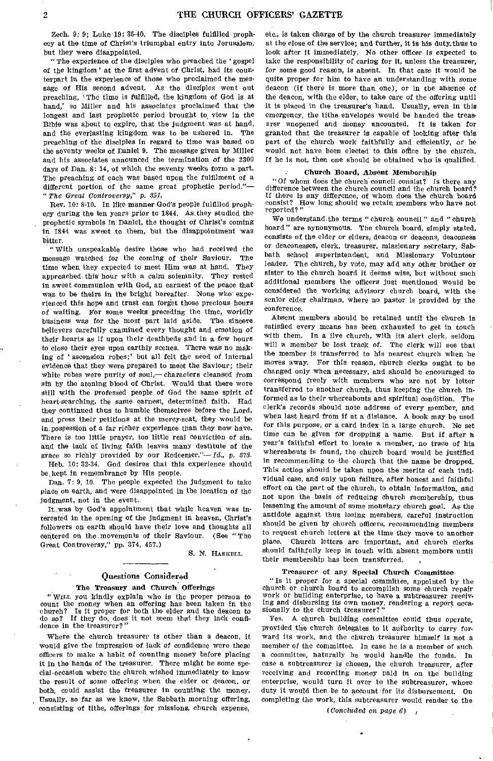Zech. 9: 9; Luke'19: 35-40. The disciples fulfilled prophecy at the time of Christ's triumphal entry into Jerusalem, but they were disappointed.

" The experience of the disciples who preached the ' gospel of the kingdom' at the first advent of Christ, had its counterpart in the experience of those who proclaimed the message of His second advent. As the disciples went out preaching, ' The time is fulfilled, the kingdom of God is at hand,' so Miller and his associates proclaimed that the longest and last prophetic period brought to view in the Bible was about to expire, that the judgment was at hand, and the everlasting kingdom was to be ushered in. The preaching of the disciples in regard to time was based on the seventy weeks of Daniel 9. The message given by Miller and his associates announced the termination of the 2300 days of Dan. 8: 14, of which the seventy weeks form a part. The preaching of each was based upon the fulfilment of a different portion of the same great prophetic period."— " *The Great Controversy," p..351.* 

Rev. 10: 8-10. In like manner God's people fulfilled prophecy during the ten years prior to 1844. As, they studied the prophetic symbols in Daniel, the thought of Christ's coming in 1844 was sweet to them, but the disappointment was bitter,

" With unspeakable desire those who had received the message watched for the coming of their Saviour. The time when they expected to meet Him was at hand. TheY approached, this hour with a calm solemnity. They rested in sweet communion with God, an earnest of the peace that was to be theirs in the bright hereafter. None who experienced this hope and trust can forget those precious hours of waiting. For some weeks preceding the time, worldly<br>business was for the most part laid aside. The sincere business was for the most part laid aside. believers carefully examined every thought and emotion of their hearts as if upon their deathbeds and in a few hours to close their eyes upon earthly scenes. There was no making of ' ascension robes;' but all felt the need of internal evidence that they were prepared to meet the Saviour; their white robes were purity of soul,— characters cleansed from sin by the atoning blood of Christ. Would that there were still with the professed people of God the same spirit of heart-searching, the same earnest, determined faith. Had they continued thus to humble themselves before the Lord, and press their petitions at the mercy-seat, they would be in, possession of a far richer experience than they now have. There is too little prayer, too little real conviction of sin, and the lack of living faith leaves many destitute of the grace so richly provided by our Redeemer."— *Id., p. 373.*  Heb. 10: 32-34. God desires that this experience should

be,kept in remembrance by His people.

Dan. 7: 9, 10. The people expected the judgment to take place on earth, and were disappointed in the location of the judgment, not in the event.

It was by God's appointment that while heaven was interested in the opening of the judgment in heaven, Christ's followers on earth should have their love and thoughts all centered on the movements of their Saviour. (See "The Great Controversy," pp. 374, 457.)

S. N. HASKELL.

#### Questions Considered

# The Treasury and Church Offerings

"WILL you kindly explain who is the proper person to count the money when an offering has been taken in the church? Is it proper for both the elder and the deacon to do so? If they do, does it not seem that they lack confidence in the treasurer?

Where the church treasurer is other than a deacon, it would give the impression of lack of confidence were these officers to make a habit of counting money before placing it in the hands of the treasurer. There might be some special-occasion where the church wished immediately to know the result of some offering when the elder or deacon, or both, could assist the treasurer in counting the money. Usually, so 'far as we know, the Sabbath morning offering, consisting of tithe, offerings for missions, church expense,

etc., is taken charge of by the church treasurer immediately at the close of the service; and further, it is his duty thus to look after it immediately. No other officer is expected to take the responsibility of caring for it, unless the treasurer, for some good reason, is absent. In that case it would be quite proper for him to have an understanding with some deacon (if there is more than one), or in the absence of the deacon, with the elder, to take care of the offering until it is placed in the treasurer's hand. Usually, even in this emergency, the tithe envelopes would be handed the treasurer unopened and money uncounted. It is taken for granted that the treasurer is capable of looking after this part of the church work faithfully and efficiently, or he would not have been elected to this office by the church. If he is not, then one should be obtained who is qualified.

#### Church Board, Absent Membership

"Of whom does the church'council consist? Is there any difference between the church council and the church board? If there is any difference, of whom does the church board How long should we retain members who have not reported?"

We understand-the terms "church council" and "church hoard" are synonymous. The church board, simply stated, consists of the elder or elders, deacon or deacons, deaconess or deaconesses, clerk, treasurer, missionary secretary, Sabbath school superintendent, and Missionary Volunteer leader. The church, by vote, may add any other brother or sister to the church board it deems wise, but without such additional members the officers just mentioned would be considered the working advisory church board, with the senior elder chairman, where no pastor is provided by the conference.

Absent members should be retained until the church is satisfied every means has been exhausted to get in touch with them. In a live church, with its alert clerk, seldom will a member be lost track of. The clerk will see that the member Is transferred to his nearest church when he moves away. For this reason, church clerks ought to be changed only when necessary, and should be encouraged to correspond freely with members who are not by letter transferred to another church, thus keeping the church informed as to their whereabouts and spiritual condition. The clerk's records should note address of every member, and when last heard from if at a distance. A book may be used for this purpose, or a card index in a large church. No set time can be given for dropping a name. But if after year's faithful effort to locate a member, no trace of his whereabouts is found, the church board would be justified in recommending to the church that the name be dropped. This action should be taken upon the merits of each individual case, and only upon failure, after honest and faithful effort on the part of the church, to obtain information, and not upon the basis of reducing church membership, thus lessening the amount of some monetary church goal. As the antidote against thus losing members, careful instruction should be given by church officers, recommending members to request church letters at the time they move to another place. Church letters are important, and church clerks should faithfully keep in touch with absent members until their membership has been transferred.

#### Treasurer of any Special Church Committee

" Is it proper for a special committee, appointed by the church or church board to accomplish some church repair work or building enterprise, to have a subtreasurer receiv-ing and disbursing its own money, rendering a report occasionally to the church treasurer?

Yes. A church building committee could thus operate, provided the church delegates to it authority to carry forward its work, and the church treasurer himself is not a member of the committee. In case he is a member of such a committee, naturally he would handle the funds. In case a subtreasurer is chosen, the church treasurer, after receiving and recording money paid in on the building enterprise, would turn it over to the subtreasurer, whose duty it would then be to account for its disbursement. On completing the work, this subtreasurer would render to the

*(Concluded on page 6) ,*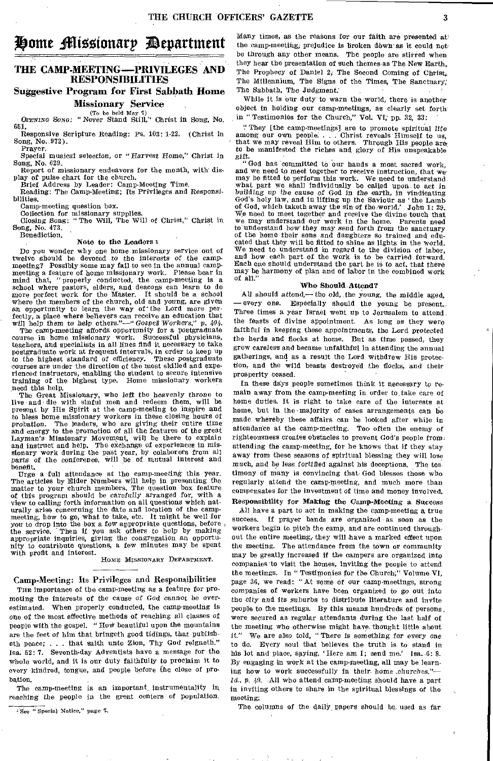# Home Missionary Department

# THE CAMP-MEETING—PRIVILEGES AND RESPONSIBILITIES

Suggestive Program for First Sabbath Home

Missionary Service

(To be held May 7) *OPENING SONG: "Never* Stand Still," Christ in Song, No, 651.

Responsive Scripture Reading: Ps. 103: 1-22. (Christ in Song, No. 972).

Prayer. Special musical selection, or "Harvest Home," Christ in Song, No. 629.

Report of missionary endeavors for the month, with display of pulse chart for the church.

Brief Address by Leader: Camp-Meeting Time,

Reading: The Camp-Meeting; Its Privileges and Responsibilities.

Camp-meeting question box.

Collection for missionary supplies. Closing Song: "The Will, The Will of Christ," Christ in Song, No. 473. Benediction.

#### Note to the Leaders<sup>1</sup>

Do you wonder why one home missionary service out of twelve should be devoted to the *interests of* the camp-meeting? Possibly some may fail to see in the annual campmeeting a feature of home missionary work. Please bear in mind that, "properly conducted, the camp-meeting is a school where pastors, elders, and deacons can learn to do more perfect work for the Master. It should be a school where the members of the church, old and young, are given an opportunity to learn the way of the Lord more perfectly, a place where believers can receive an education that

will help them to help others."—" Gospell *Workers," p. 404,*  The camp-meeting affords opportunity for a postgraduate course in home missionary work. Successful physicians, teachers, and specialists in all lines find it necessary to take Postgraduate work at frequent intervals, in order to keep up to the highest standard *of* efficiency. These postgraduate courses are under the direction of the most skilled and experienced instructors, enabling the student to secure intensive training of the highest type. Home missionary need this help.

The Great Missionary, who left the heavenly throne to live and die with sinful men and redeem them, will be present by His Spirit at the camp-meeting to inspire and to bless home missionary workers in these closing hours of Probation. The leaders, who are giving their entire time and energy to the promotion of all the features of the great Layman's Missionary Movement, will be there to explain and instruct and help. The exchange of experiences in mis-sionary work during the past year, by colaborers from all parts of the conference, will be of mutual interest and benefit

Urge a full attendance at the camp-meeting this year. The articles by Elder Numbers will help in presenting the matter to your church members. The question box feature of this program should be *carefully* arranged for, with a view to calling forth information on all questions which naturally arise concerning the date and location of the campmeeting, how to go, what to take, etc. It might be well for you to drop into the box a few appropriate questions, before , the service. Then if you ask others to help by *making*  appropriate inquiries, giving the congregation an opportunity to contribute questions, a few minutes may be spent with profit and interest.

Home MISSIONARY DEPARTMENT.

# Camp-Meeting: Its Privileges and Responsibilities

THE importance of the camp-meeting as a feature for promoting the interests of the cause of God *cannot* be overestimated. When properly conducted, the camp-meeting is one of the most effective methods of reaching all classes of people with the gospel. "How beautiful upon the mountains are the feet of him that bringeth good tidings, that publisheth peace; . . . that saith unto Zion, Thy God reigneth." Isa. 52: 7. Seventh-day Adventists have a message for the whole world, and it is our duty faithfully to proclaim it to every kindred, tongue, and people before the close of probation.

The camp-meeting is an important, instrumentality in reaching the people in the great centers of population.

'See "Special Notice." page T.

Many times, as the reasons for our faith are presented at the camp-meeting, prejudice is broken down as it could not be through any other means. The people are stirred when they hear the presentation of such themes as The New Earth, The Prophecy of Daniel 2; The Second Coming of Christ; The Millennium, The Signs of the Times, The Sanctuary; The Sabbath, The Judgment.

While it is our duty to warn the world, there is another object in holding our camp-meetings, as clearly set forth in "Testimonies for the Church," vol. VI; pp. 32, 3a:

They [the camp-meetings] are to promote spiritual life among our own people:. . . Christ reveals Himself to us, that we may reveal Him to others. Through His people are to be manifested the riches and glory of His unspeakable gift.

"God has committed to our hands a most sacred work, and we need to meet together to receive instruction, that we may be fitted to perform this work. We need to understand. what part we shall individually be called upon to act In building up the cause *of God* in the earth, in vindicating God's holy law, and in lifting up the Saviour as ' the Lamb of God, which taketh away the sin of the world.' John 1: 29. We need to meet together and receive the divine touch that we may understand our work in the home. Parents need to understand how they may send forth from the sanctuary of the home their sons and daughters so trained and educated that they will be fitted to shine as lights in the world. We need to understand in regard to the division of labor, and how each part of the work is to be carried forward, Each one should understand the part he is to act, that there may be harmony of plan and of labor in the combined work of all."

### Who Should. Attend?

All should attend,— the old, the young, the middle aged, —every one. Especially should the young be present.. Three times a year Israel went up to Jerusalem to attend, the feasts of divine appointment. As long as they were faithful in keeping these appointments, the Lord protected the herds and flocks at home. But as time passed, they grew careless and became unfaithful in attending the annual gatherings, and as a result the Lord withdrew His protection, and the wild beasts destroyed the flocks, and their prosperity ceased.

In these days people sometimes think it necessary to remain away from the camp-meeting in order to take care of home duties. It is right to take care of the interests at home, but in the majority of cases arrangements can be made whereby these affairs can be looked after while in attendance at the camp-meeting. Too often the enemy of righteousness creates obstacles to prevent God's people from, attending the camp-meeting, for he knows that if they stay away from these seasons of spiritual blessing they will lose much, and be less fortified against his deceptions. The testimony of many is convincing that God blesses those who regularly attend the camp-meeting, and much more than compensates for the investment of time and money involved.

Responsibility for Making the Camp-Meeting a Success

All have a part to act in making the camp-meeting a true success. If prayer bands are organized as soon as the workers begin to pitch the camp, and are continued throughout the entire meeting, they will have a marked effect upon the meeting. The attendance from the town or community may be greatly increased if the campers are organized into companies to visit the homes, inviting the people to attend the meetings. In " Testimonies for the Church;" Volume VI, page 36, we read: "At some of our camp-meetings, strong companies of workers have been organized to go out into the city and its suburbs to distribute literature and invite people to the meetings. By this means hundreds of persons, were secured as regular attendants during the last half of the meeting who otherwise might have thought little about it." We are also told, "There is something for every one it." We are also told, " There is *something* for every one to do. Every soul that believes the truth is to stand in his lot and place, saying, 'Here am I; send me.' Isa. 6: 8. By engaging in work at the camp-meeting, all may be learning how to work successfully in their-home ,churches."-*Id., p.* 49. All who attend camp-meeting should have a part in inviting others to share in the spiritual blessings of the meeting.

The columns of the daily, papers should be, used as far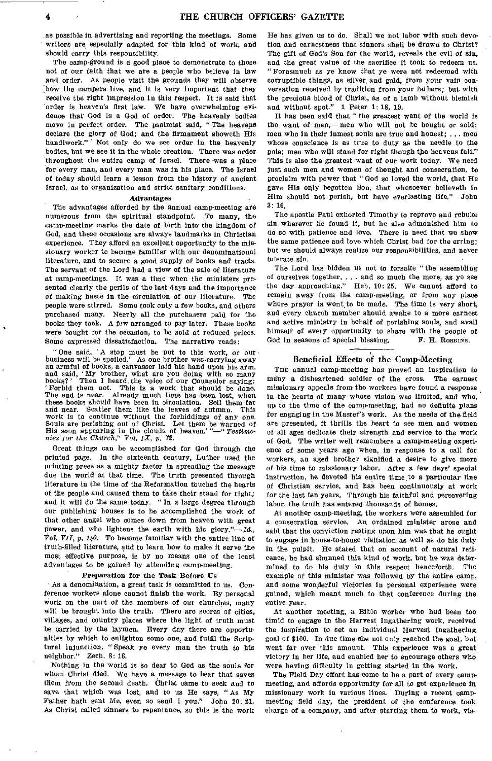as possible in advertising and reporting the meetings. Some writers are especially adapted for this kind of work, and should carry this responsibility.

The camp-ground is a good place to demonstrate to those not of our faith that we are a people who believe in law and order. As people visit the grounds they will observe :how the campers live, and it is very important that they receive the right impression in this respect. It is said that 'order is heaven's first law. We have overwhelming evidence -that God is a God of order. The heavenly bodies move in perfect order. The psalmist said, "The heavens declare the glory of God; and the firmament showeth His handiwork." Not only do we see order in the heavenly bodies, but we see it in the whole creation. There was order 'throughout the entire camp of Israel. There -was a place for every man, and every man was in his place. The Israel of today should learn a lesson from the history of ancient Israel, as to organization and strict sanitary conditions.

#### Advantages

The advantages afforded by the annual camp-meeting are numerous from the spiritual standpoint. To many, the camp-meeting marks the date of birth into the kingdom of God, and these occasions are always landmarks in Christian experience. They afford an excellent opportunity to the missionary worker to become familiar with our denominational literature, and to secure a good supply of books and tracts. The servant of the Lord had a view of the sale of literature at camp-meetings. It was a time when the ministers presented clearly the perils of the last days and the importance of making haste in the circulation of our literature. The people were stirred. Some took only a few books, and others purchased many. Nearly all the purchasers paid for the books they took. A few arranged to pay later. These books were bought for the occasion, to be sold at reduced prices. Some expressed dissatisfaction. The narrative reads:

"One said, 'A stop must be put to this work, or our business will be spoiled.' As one brother was carrying away an armful of books, a canvasser laid his hand upon his arm, and said, ' My brother, what are you doing with so many books?' Then I heard, the voice of our Counselor saying: 'Forbid them not. This is a work that should be done. Already much time has been lost, when<br>I have been in circulation. Sell them far these books should have been in circulation. Sell them far mid near. Scatter them like the leaves of autumn. This and near. Scatter them like the leaves of autumn. This<br>work is to continue without the forhiddings of any one. Souls are perishing out of Christ. Let them be warned of His soon appearing in the clouds of heaven.'"--"Testimo-His soon appearing in the clouds of heaven.'"<sup>-"</sup> *Testimo-*<br>*nies for the Church*," *Vol. IX, p. 72.* 

Great things can be accomplished for God through the printed page. In the sixteenth century, Luther used the printing press as a mighty factor in spreading the message due the world at that time. The truth presented through literature in the time of the Reformation touched the hearts of the people and caused them to take their stand for right; and it will do the same today. " In a large degree through our publishing houses is to be accomplished the work of that other angel who comes down from heaven with great Power, and who lightens the earth with his glory."— *Id., Vol. VII,* p. *140.* To become familiar with the entire line of truth-filled literature, and to learn how to make it serve the most effective purpose, is by no means one of the least advantages to be gained by attending camp-meeting.

#### Preparation for the Task Before Us

As a denomination, a great task is committed to us. Conference workers alone cannot finish the work. By personal work on the part of the members of our churches, many Will be brought into the truth. There are scores of cities, villages, and country places where the light of truth must be carried by the laymen. Every day there are opportunities by which to enlighten some one, and fulfil the Scriptural injunction, " Speak ye every man the truth to his neighbor." Zech. 8: 16.

Nothing in the world is so dear to God as the souls for whom Christ died. We have a message to bear that saves them from the second death. Christ came to seek and to save that which was lost, and to us He says, "As My Father hath sent Me, even so send I you." John 20: 31. As Christ called sinners to repentance, so this is the work He has given us to do. Shall we not labor with such devotion and earnestness that sinners shall be drawn to Christ? The gift of God's Son for the world, reveals the evil of sin, and the great value of the sacrifice it took to redeem us. " Forasmuch as ye know that ye were not redeemed with corruptible things, as silver, and gold, from your vain conversation received by tradition from your fathers; but with the precious blood of Christ, as of a lamb without blemish and without spot." 1 Peter 1: 18, 19.

It has been said that " the greatest want of the world is the want of men,—men who will not be bought or sold; men who in their inmost souls are true and honest; ... men whose conscience is as true to duty as the needle to the pole; men who will stand for right though the heavens fall." This is also the greatest want of our work today. We need just such men and women of thought and consecration, to proclaim with power that "God so loved the world, that He gave His only begotten Son, that whosoever believeth in Him should not perish, but have everlasting life." John 3: 16.

The apostle Paul exhorted Timothy to reprove and rebuke sin wherever he found it, but he also admonished him to do so with patience and love. There is need that we show the same patience and love which Christ had for the erring; but we should always realize our responsibilities, and never tolerate sin.

The Lord has bidden us not to forsake "the assembling of ourselves together, . .. and so much the more, as ye see the day approaching." Heb. 10: 25. We cannot afford to remain away from the camp-meeting, or from any place where prayer is wont to be made. The time is very short, and every church member should awake to a more earnest and active ministry in behalf of perishing souls, and avail himself of every opportunity to share with the people of God in seasons of special blessing. F. H. ROBBINS.

# Beneficial Effects of the Camp-Meeting

THE annual camp-meeting has proved an inspiration to many a disheartened soldier of the cross. The earnest missionary appeals from the workers have found a response in the hearts of many whose vision was limited, and who, up to the time of the camp-meeting, had no definite plans for engaging in the Master's work. As the needs of the field are presented, it thrills the heart to see men and women of all ages dedicate their strength and service to the work of God. The writer well remembers a camp-meeting experience of some years ago when, in response to a call for workers, an aged brother signified a desire to give more of his time to missionary labor. After a few days' special instruction, he devoted his entire time.to a particular line of Christian service, and has been continuously at work for the last ten years. Through his faithful and persevering labor, the truth has entered thousands of homes.

At another camp-meeting, the workers were assembled for a consecration service. An ordained minister arose and said that the conviction resting upon him was that he ought to engage in house-to-house visitation as well as do his duty in the pulpit. He stated that on account of natural reticence, he had shunned this kind of work, but he was determined to do his duty in this respect henceforth. The example of this minister was followed by the entire camp, and some wonderful victories in personal experience were gained, which meant much to that conference during the entire year.

At another meeting, a Bible worker who had been too timid to engage in the Harvest Ingathering work, received the inspiration to set an individual Harvest Ingathering goal of \$100. In due time she not only reached the goal, but went far over this amount. This experience was a great victory in her life, and enabled her to encourage others who were having difficulty in getting started in the work.

The Field Day effort has come to be a part of every campmeeting, and affords opportunity for all to get experience in missionary work in various lines. During a recent campmeeting field day, the president of the conference took charge of a company, and after starting them to work, vie-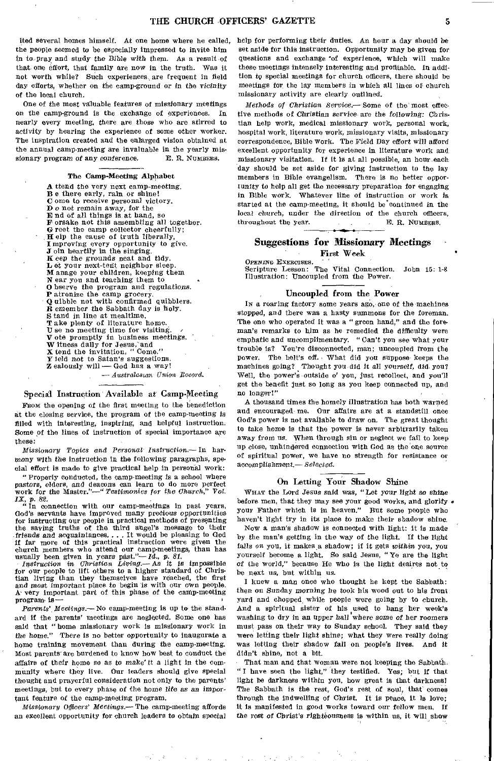ited several homes himself. At one home where he called, the people seemed to be especially impressed to invite him in to, pray and study the *Bible* with them. As a result of that one effort, that family are now in the truth. Was it not worth while? Such experiences are frequent in field day efforts, whether on the camp-ground or in the *vicinity*  of the local church.

One of the most valuable features of missionary meetings on the camp-ground is the exchange of experiences. In nearly every meeting, there are those who are stirred to activity by hearing the experience of some other worker. The inspiration created and the enlarged vision obtained at the annual camp-meeting are invaluable in the yearly mis-<br>sionary program of any conference.  $E$ , R, Numbers, sionary program of any conference.

#### The Camp-Meeting Alphabet

A ttend the very next camp-meeting. B e there early, rain or shine! C ome to receive personal victory. D o not remain away, for the E nd of all things is, at hand, so Forsake not this assembling all together. O reet the camp collector cheerfully; H elp the cause of truth liberally, Improving every opportunity to give. J oin heartily in the singing. K eep the grounds neat and tidy. L et your next-tent neighbor sleep. M anage your children, keeping them N ear you and teaching them to 0 bserve the program and *regulations.*  P atronize the camp grocery. Q nibble not with confirmed quibblers.  $\tilde{\mathbf{R}}$  emember the Sabbath day is holy. S tand in line at mealtime. Take plenty of literature home. U se no meeting time for visiting. **V** ote promptly in business meetings.<br>**W** itness daily for Jesus, and<br>**X** tend the invitation, "Come." Y ield not to Satan's suggestions. Z ealously will — God has a way! *— Australasian Union Record.* 

#### Special Instruction Available at Camp-Meeting

FROM the opening of the first meeting to the benediction at the closing service, the program of the camp-meeting is filled with interesting, inspiring, and helpful instruction. Some of the lines of instruction of special importance are these:

*Missionary Topics and Personal Instruction.—* In harmony with the instruction in the following paragraphs, special effort is made to give practical help in personal work:

"Properly conducted, the camp-meeting Is a school where Pastors, elders, and deacons can learn to do more perfect work for the Master."—" *Testimonies for the Church," Vol.* 

*Li,* P. *82.*  " In connection with our camp-meetings in past years, God's servants have improved many precious opportunities for instructing our people in practical methods of presenting<br>the saving truths of the third angel's message to their<br>friends and acquaintances... It would be pleasing to God<br>if far more of this practical instruction were

usually been given in years past"— *Id., p. 81. Instruction in Christian Living.—* As it is impossible for our people to lift others to a higher standard of Christian living than they themselves have reached, the first and most important place to begin is with our own people. A-very important part of this phase of the camp-meeting program is—

*Parents' Meetings.—No* camp-meeting is up to the standard if the parents' meetings are neglected. Some one has said that "home missionary work is missionary work in the home." There is no better opportunity to inaugurate a home training movement than during the camp-meeting. Most parents' are burdened to know how best to conduct the affairs of their home so as to make' it a light in the community where they live. Our leaders should give special thought and prayerful consideration not only to the parents' meetings, but to every phase of the home life *as an important* feature of the camp-meeting program.

*Missionary Officers' Meetings.—* The camp-meeting affords an excellent opportunity for church leaders to obtain special

help for performing their duties. An hour a day should be set aside for this instruction. Opportunity may be given for questions and exchange of experience, which will make these meetings intensely interesting and profitable. In addition to special meetings for church officers, there should be meetings for the lay members in which all lines of. church missionary activity are clearly outlined.

*Methods of Christian Service*.-- Some of the most effective methods of Christian service are the *following:* Christian help work, medical missionary work, personal work, hospital work, literature work, missionary visits, missionary correspondence, Bible work. The Field Day effort will afford excellent opportunity for experience in literature work and missionary visitation. If it is at all possible, an hour each day should be set aside for giving instruction to the lay members in Bible evangelism. There is no better opportunity to help all get the necessary preparation for engaging in Bible work. Whatever line of instruction or work is started at the camp-meeting, it should be continued in the local church, under the direction of the church officers, throughout the year. The state of the E.R. NUMBERS.

# Suggestions for Missionary Meetings First Week

OPENING EXERCISES. Scripture Lesson: The Vital Connection. John 15: 1-5 Illustration: Uncoupled from the Power.

#### Uncoupled from the Power

Ix a roaring factory some years ago, one of the machines stopped, and there was a hasty summons for the foreman. The one who operated it was a "green hand," and the foreman's remarks to him as he remedied the difficulty were emphatic and uncomplimentary. " Can't you see what your trouble is? You're disconnected, man; uncoupled from the power. The belt's off. What did you suppose keeps the machines going? Thought you did it all yourself, did. you? Well, the power's outside o' you, just recollect, and you'll get the benefit lust so long as you keep connected up, and no longer!"

A thousand times the homely illustration has both warned aud encouraged me. Our affairs are at a standstill once God's power is not available to draw on. The great thought to take home is that the power is never arbitrarily taken away from us. When through sin or neglect we fail to keep up close, unhindered connection with God as the one source of spiritual power, we have no strength for resistance or accomplishment.— *Selected.* 

#### On Letting Your Shadow Shine

WHAT the Lord Jesus said was, "Let your *light so* shine before men, that they may see your good works, and glorify  $\bullet$ your Father which is in heaven." But some people who haven't light try in its place to make their shadow *shine,* 

Now a man's shadow is connected with light: it is made by the man's getting in the way of the light. If the light falls on you, it makes a shadow; if it gets *within* you, you yourself become a light. So said Jesus, "'Ye are the light *of* the world," because He who is the light desires not to be next us, but within us.

I knew a man once who thought he kept the Sabbath: then on *Sunday morning* he took his wood out to his front yard and chopped while people were going by to church. And a spiritual sister of his used to hang her week's washing to dry in an upper hall where some *of* her roomers must pass on their way to Sunday school. They said they were letting their light shine; what they were really doing was letting their shadow fall on people's lives. And it didn't shine, not a bit.

That man and that woman were not keeping the Sabbath. " I have seen the light," they testified. Yes; but if that light be darkness within you, how great is that darkness! The Sabbath is the rest, God's rest of soul, that comes through the indwelling of Christ. It is peace, it is love; it is manifested in good works toward our fellow men, If the *rest of* Christ's righteousness is within us, it will show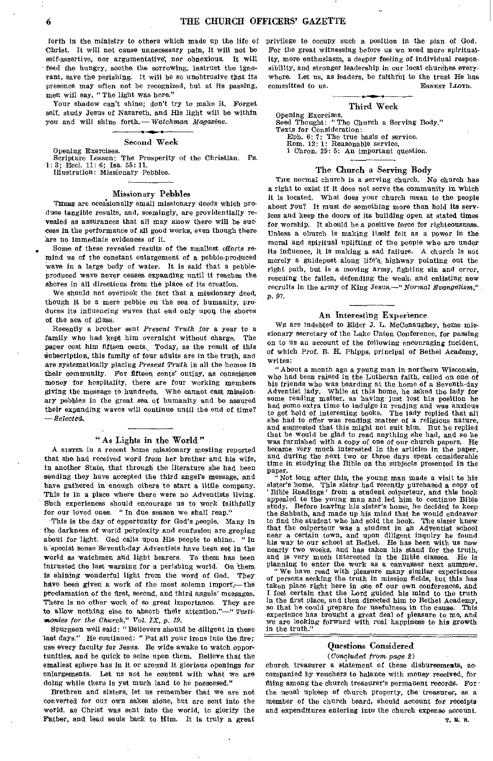forth in the ministry to others which made up the life of Christ. It will not cause unnecessary pain, it will not be self-assertive, nor argumentative; nor obnoxious. It will feed the hungry, soothe the sorrowing, instruct the ignorant, save the perishing. It will be so unobtrusive that its presence may often not be recognized, but at its passing, men will say, "The light was here."

Your shadow can't shine; don't try to make it. Forget self, study Jesus of Nazareth, and His light will be within you and will shine forth.— *Watchman Magazine.* 

#### Second Week

Opening Exercises. Scripture Lesson: The Prosperity of the Christian. Ps. 1: 3; Beck 11: 6; Isa. 55: 11.

Illustration: Missionary Pebbles.

# Missionary Pebbles

THERE are occasionally small missionary deeds which produce tangible results, and, seemingly, are providentially revealed as assurances that all may Know there will be success in the performance of all good works, even though there are no immediate evidences of it.

Some of these revealed results of the smallest efforts remind us of the constant enlargement of a pebble-produced 'Wave in a large body of water. It is said that a pebbleproduced wave never ceases expanding until it reaches the shores in all directions from the place of its creation.

We should not overlook the fact that a missionary deed, though it be a mere pebble on the sea of humanity, produces its influencing waves that end only upon the shores of the sea of glass.

Recently a brother sent *Present Truth* for a year to a family who had kept him overnight without charge, The paper cost him fifteen cents. Today, as the result of this subscription, this family of four adults are in the truth, and are systematically placing *Present Truth* in all the homes in their community. For fifteen cents' outlay, as conscience money for hospitality, there are four working members giving the message to hundreds. Who cannot cast missionary pebbles in the great sea of humanity and be assured their expanding waves will continue until the end of time? *—Selected,* 

# "As Lights in the World"

A sister in a recent home missionary meeting reported that she had received word from her brother and his wife, in another State, that through the literature she had been sending they have accepted the third angel's message, and have gathered in enough others to start a little company. This is in a place where there were no Adventists living. Such experiences should encourage us to work faithfully for our loved ones. "In due season we shall reap."

This is the day of opportunity for God's people. Many in the darkness of world perplexity and confusion are groping about for light. God calls upon His people to shine. "In &special sense Seventh-day Adventists have been set in the world as watchmen and light bearers. To them has been intrusted the last warning for a perishing world. On them is shining wonderful light from the word of God. They have been given a work of the most solemn import,— the proclamation of the first, second, and third angels' messages. There is no other work of so great importance. They are to allow nothing else to absorb their attention."—" *Testimonies for the* Church," *Vol. IX, p. 19.* 

Spurgeon well said: "Believers should be diligent in these last days." He continued: " Put all your irons Into the fire; use every faculty for Jesus. Be wide awake to watch opportunities, and be quick to seize upon them. Believe that the smallest sphere has in it or around it glorious openings for enlargements. Let us not be content with what we are doing while there is yet much land to he possessed."

Brethren and sisters, let us remember that we are not converted for our own sakes alone, but are sent into the world, as Christ was sent into the world, to glorify the Father, and lead souls back to Him. It is truly a great privilege to occupy such a position in the plan of God. For the great witnessing before us we need more spirituality, more enthusiasm, a deeper feeling of individual responsibility, and stronger leadership in our local churches everywhere. Let us, as leaders, be faithful to the trust He has committed to us.  $B$ g ERNEST LLOYD. committed to us.

#### Third Week

Opening Exercises. Seed Thought: " The Church a Serving Body." Texts for Consideration: Eph. 6: 7: The true basis of service. Rom. 12: 1: Reasonable service, 1 Chron. 29: 5: An important question.

#### The Church a Serving Body

THE normal church is a serving church. No church has a right to exist if it does not serve the community in 'which it is located. What does your church mean to the people about you? It must do something more than hold its services and keep the doors of its building open at stated times for worship. It should be a positive force for righteousness. Unless a church is making itself felt as a power in the moral and spiritual uplifting of the people who are under its influence, it is making a sad failure. A church is not merely a guidepost along life's. highway pointing out the right path, but is a moving army, fighting sin and error, rescuing the fallen, defending the weak, and enlisting new recruits in the army of King Jesus.—" *Normal Evangelism,"*  p. *97,* 

### An Interesting Experience

WE are indebted to Elder J. L. McConaughey, home missionary secretary of the Lake Union Conference, for passing on to us an account of the following encouraging incident, of which Prof. B. H. Phipps, principal of Bethel Academy, writes:

"About a month ago a young man in northern Wisconsin, who had been raised in the Lutheran faith, called on one of his friends who was boarding at the home of a Seventh-day Adventist lady. While at this home, he asked the lady for some reading matter, as having just lost his position he had some extra time to indulge in reading and was anxious to get hold of interesting books. The lady replied that all she had to offer was reading matter of a religious nature, and suggested that this might not suit him. But he replied that he would be glad to read anything she had, and so he was furnished with a copy of one of our church papers. He became very much interested in the articles in the paper, and during the next two or three days spent considerable time in studying the Bible on the subjects presented in the paper.

Not long after this, the young man made a visit to his sister's home. This sister had recently purchased a copy of ' Bible Readings' from a student colporteur, and this book appealed to the young man and led him to continue Bible study. Before leaving his sister's home, he decided to keep the Sabbath, and made up his mind that he would endeavor to find the student who had sold the book. The sister knew that the colporteur was a student in an Adventist school near a certain town, and upon diligent inquiry he found his way to our school at Bethel. He has been with us now nearly two weeks, and has taken his stand for the truth, and is very much interested in the Bible classes. He is planning to enter the work as a canvasser next summer. " We have read with pleasure many similar experiences of persons seeking the truth in mission fields, but this has taken place right here in one of our own conferences, and I feel certain that the Lord guided his mind to the truth in the first place, and then directed him to Bethel Academy, so that he could prepare for usefulness in the cause. This experience has brought a great deal of pleasure to me, and we are looking forward with real happiness to his growth in the truth."

# Questions Considered *(Concluded from page 2)*

church treasurer a statement of these disbursements, accompanied by vouchers to balance with money received, for filing among the church treasurer's permanent records. For the ueual upkeep of church property, the treasurer, as a member of the church board, should account for receipts and expenditures entering into the church expense account.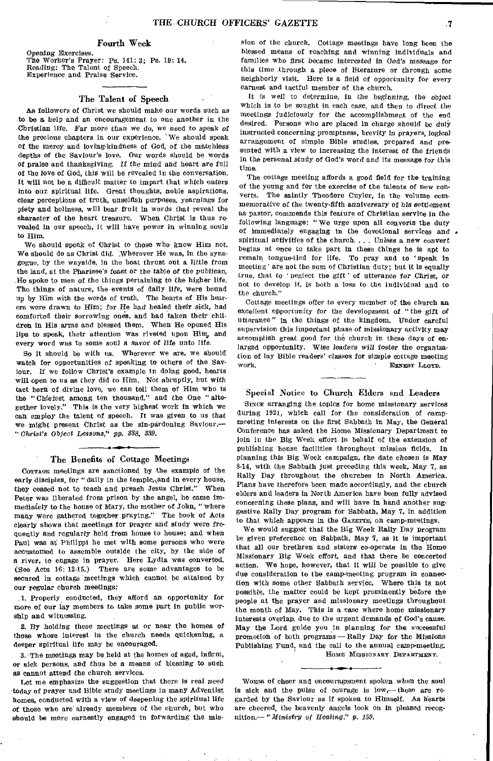# Fourth Week

Opening Exercises. The Worker's Prayer: Ps. 141: 3; Ps. 19: 14. Reading: The Talent of Speech. Experience and Praise Service.

### The Talent of Speech

As followers of Christ we should make our words such as to be a help and an encouragement to one another in the Christian life. Far more than we do, we need to speak of the precious chapters in our experience. 'We should speak of the mercy and loving-kindness of God, of the matchless depths of the Saviour's love. Our words should be words of praise and thanksgiving. If the *mind* and heart are full of the love of God, this will be revealed in the conversation. It will not be a difficult matter to impart that which enters into our, spiritual life. Great thoughts, noble aspirations, clear perceptions of truth, unselfish purposes, *yearnings* for piety and holiness, will bear fruit in words that reveal the character of the heart treasure. When Christ is thus revealed in our speech, it will have power in winning souls to Him.

We should speak of Christ to those who know Him not. We should do as Christ did. Wherever He was, in the synagogue, by the wayside, in the boat thrust out a little from the land, at the Pharisee's feast or the table of the publican, He spoke to men of the things pertaining to the higher life. The things of nature, the events of daily life, were bound up by Him with the words of truth. The hearts of His hearers were drawn to Him; for He had healed *their* sick, had comforted their sorrowing ones, and had taken their children in His arms and blessed them. When He opened His lips to speak, their attention was riveted upon Him, and every word was to some soul a savor *of life* unto life.

So it should be with us. Wherever we are, we should watch for opportunities of speaking to others of the Saviour. If we follow Christ's example in doing good, hearts will open to us as they did to Him. Not abruptly, but with tact born of divine love, we can tell them of Him who is the "Chiefest among ten thousand," and the One "altogether lovely." This is the very highest work in which we can employ the talent of speech. It was given to us that we might present Christ as the sin-pardoning Saviour. "*Christ's Object Lessons," pp. 338, 339,* 

#### The Benefits of Cottage Meetings

GOTTAGE meetings are sanctioned by the example of the early disciples, for " daily in the temple, and in every house, they ceased not to teach and preach Jesus Christ." When Peter was liberated from prison by the angel, he came immediately to the house of Mary, the mother of John, "where many were gathered together praying." The book of Acts clearly shows that meetings for prayer and study were frequently and regularly held from house to house; and when Paul was at Philippi he met with some persons who were accustomed to assemble outside the city, by the side of a river, to engage in prayer. Here Lydia was converted. (See Acts 16: 12-15.) There are some advantages to be secured in cottage meetings which cannot be attained by our regular church meetings:

1. Properly conducted, they afford an opportunity for more of our lay members to take some part in public worship and witnessing.

*2. By holding* these meetings at or near the homes of those whose interest in the church needs quickening, a deeper spiritual life may be encouraged.

3. The meetings may be held at the homes of aged, infirm, or sick persons, and thus be a means of blessing to such as cannot attend the church services.

Let me emphasize the suggestion that there is real need today of prayer and Bible study meetings in many Adventist homes, conducted with a view *of* deepening the spiritual life of those who are already members of the church, but who should be more earnestly engaged in forwarding the mission of the church. Cottage meetings have long been the blessed means of reaching and winning individuals and families who first became interested in God's *message for*  this time through a piece of literature or through some neighborly visit. Here is a field of opportunity for every earnest and tactful member of the church.

It is well to determine, in the *beginning,* the object which is to be sought in each case, and then to direct the meetings judiciously for the accomplishment of the end desired. Persons who are placed in charge should be duly instructed concerning promptness, *brevity* in prayers, logical arrangement of simple Bible studies, prepared and presented with a view to increasing the interest of the friends in the personal study of God's word and its message for this time.

The cottage meeting affords a good field for the training of the young and for the exercise of the talents of new converts. The saintly Theodore Cuyler, in the volume commemorative of the twenty-fifth anniversary of his settlement as pastor, commends this feature of Christian service in the following language: "We urge upon all converts the duty of immediately engaging in the devotional services and spiritual activities of the church.... *Unless* a new convert begins at once to take part in these things he is apt to remain tongue-tied for life. To pray and to 'speak in meeting' are not the sum of Christian duty; but it is equally true, that to 'neglect the gift ' of utterance *for Christ,* or not to develop it, is both a loss to the individual and to the church."

Cottage meetings offer to every member of the church an excellent opportunity for the development *of "the* gift of utterance" in the things of the kingdom. Under careful supervision this important phase of missionary activity may accomplish great good for the church in these days of enlarged opportunity. Wise leaders *will* foster the organization of lay Bible readers' classes for simple cottage meeting work. The extension of the ERNEST LLOYD.

#### Special Notice to Church Elders and Leaders

SINCE arranging the topics for home missionary services during 1921, which call for the consideration of campmeeting interests on the first Sabbath in May, the General Conference has asked the Home Missionary Department to join in the Big Week effort in behalf of the extension of publishing house facilities throughout mission fields. In Planning this Big Week campaign, the date chosen is May 8-14, with the Sabbath just preceding this week, May 7, as Rally Day throughout the churches in North America. Plans have therefore been made accordingly, and the church elders and leaders in North America have been fully advised concerning these plans, and will have in hand another suggestive Rally Day program for Sabbath, May 7, in addition to that which appears in the GAZETTE, on camp-meetings.

We would suggest that the Big Week Rally Day program be given preference on Sabbath, May 7, as it is important that all our brethren and sisters co-operate in the Home Missionary Big Week effort, and that there be concerted action. We hope, however, that it will be possible to give due consideration to the camp-meeting program in connection with some other Sabbath service. Where this is not Possible, the matter could be kept prominently before the People at the prayer and missionary meetings throughout the month of May. This is a case where home missionary interests overlap, due to the urgent demands of God's cause. May the Lord guide you in planning for the successful promotion of both programs —Rally Day for the Missions Publishing Fund, and the call to the annual camp-meeting. HOME MISSIONARY DEPARTMENT.

Worps of cheer and encouragement spoken when the soul is sick and the pulse of courage is low,—these are regarded by the Saviour as if spoken to Himself. As hearts are cheered, the heavenly angels look on in pleased recognition.—"Ministry *of Healing," p. 159.*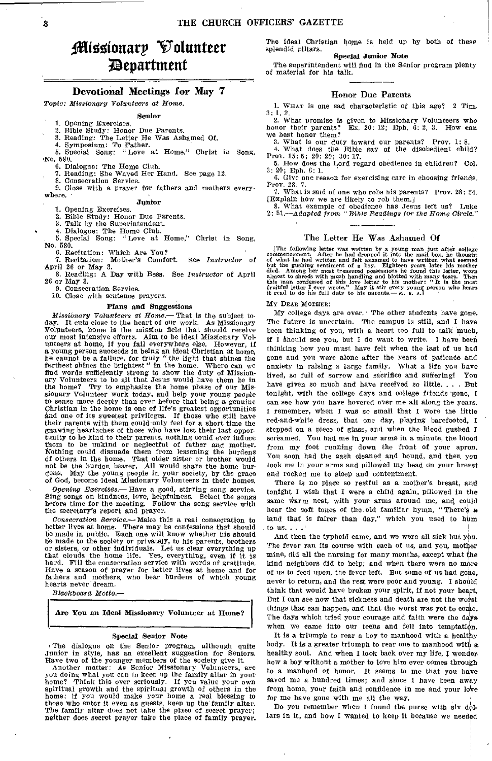# aiotiionarp Volunteer ;Department

# Devotional Meetings for May 7

*Topic: Missionary Volunteers at* Home.

### Senior

1. Opening Exercises.

2. Bible Study: Honor Due Parents.

3. Reading: The Letter He Was Ashamed Of. 4. Symposium: To Father. 5. Special Song: "Love at Home," Christ in Song,

No. 580.

6. Dialogue: The Home Club. 7. Reading: She Waved Her Hand. See page 12. 8. Consecration Service.

9, Close with a prayer for fathers and mothers everywhere.

#### Junior

1. Opening Exercises. 2. Bible Study: Honor Due Parents.

3. Talk by the Superintendent.

• 4. Dialogue: The Home Club.

5. Special Song: "Love at Home," Christ in Song, 5. Special Song:<br>No. 580.

6. Recitation: Which Are You? 7. Recitation: Mother's Comfort. See *Instructor* of 7. Recitation: 1<br>April 26 or May 3.

8. Reading: A Day with Bess. See *Instructor* of April 26 or May 3.

9. Consecration Service.

10. Close with sentence prayers.

#### Plans and Suggestions

*Missionary Volunteers at Home.*— That is the subject today. It cuts close to the heart of our work. As Missionary Volunteers, home is the mission field that should receive our most intensive efforts. Aim to be ideal Missionary Vol-unteers at home, if you fail everywhere else. However, if a young person succeeds in being an ideal Christian at home, he cannot be a failure, for truly "the light that shines the farthest shines the brightest" in the home. Where can we find words sufficiently strong to show the duty of Mission-ary Volunteers to be all that Jesus would have them be in the home? Try to emphasize the home phase of our Missionary Volunteer work today, and help your young people to sense more deeply than ever before that being a genuine Christian in the home is one of life's greatest opportunities and one of its sweetest privileges. If those who still have their parents with them could only feel for a short time the gnawing heartaches of those who have lost their last opportunity to be kind to their parents, nothing could ever induce them to be unkind or neglectful of father and mother. Nothing could dissuade them from lessening the burdens of others in the home. That older sister or brother would not be the burden bearer. All would share the home bur-dens. May the young people in your society, by the grace of God, become ideal Missionary Volunteers in their homes.

*Opening Exercises.*-Have a good, stirring song service. Sing songs on kindness, love, helpfulness. Select the songs before time for the meeting. Follow the song service with the secretary's report and prayer.

*Consecration Service.-* Make this a real consecration to better lives at home. There may be confessions that should be made in public. Each one will know whether his should 6e made to the society or privately, to his parents, brothers or sisters, or other individuals. Let us clear everything up that clouds the home life. Yes, everything, even if it is hard. Fill the consecration service with words of gratitude. Have a season of prayer for better lives at home and for fathers and mothers, who bear burdens of which young hearts never dream.

*Blackboard Motto.-* 

# Are You an Ideal Missionary Volunteer at Home?

#### Special Senior Note

The dialogue on the Senior program, although quite Junior in style, has an excellent suggestion for Seniors. Have two of the younger members of the society give it.

Another matter: As Senior Missionary Volunteers, are you doing what you can to keep up the family altar in your home? Think this over seriously. If you value your own spiritual growth and the spiritual growth of others in the home; if you would make your home a real blessing to those who enter it even as guests, keep up the family altar. The family altar does not take the place of secret prayer; neither does secret prayer take the place of family prayer.

The ideal Christian home is held up by both of these splendid pillars.

#### Special Junior Note

The superintendent will find in the Senior program plenty of material for his talk.

### Honor Due Parents

1. WHAT is one sad characteristic of this age? 2 Tim, 3: 1, 2.

2. What promise is given to Missionary Volunteers who honor their parents? Ex. 20: 12; Eph, 6: 2, 3. How can we best honor them? we best honor them?<br>3. What is our duty toward our parents? Prov. 1: 8.

4. What does the Bible say of the disobedient child? Prov. 15: 5; 20: 20; 30: 17.

5. How does the Lord regard obedience in children? Col, 3: 20; Eph. 6: 1.

6. Give one reason for exercising care in choosing friends. Prov. 28: 7.

7. What is said of one who robs his parents? Prov. 28: 24. [Explain how we are likely to rob them.]

8. What example of obedience has Jesus left us? Luke 2: 51.*-Adapted from "Bible Readings for the Home Circle."* 

#### The Letter He Was Ashamed Of

[The following letter was written by a young man just after college commencement. After he had dropped it into the mail box, he thought of what he emed of what he had written and felt ashamed to have written what seemed b

#### My DEAR MOTHER:

My college days are over. The other students have gone. The future is uncertain. The campus is still, and I have been thinking of you, with a heart too full to talk much, if I Should see you, but I do want to write. I have been thinking how you must have felt when the last of us had gone and you were alone after the years of patience and anxiety in raising a large family. What a life you have lived, so full of sorrow and sacrifice and suffering! You have given so much and have received so little. . . . But tonight, with the college days and college friends gone, I can see how you have hovered over me all along the years. I remember, when I was so small that I wore the little red-and-white dress, that one day, playing barefooted, I stepped on a piece of glass, and when the blood gushed I screamed, You had me in your arms in a minute, the blood from my foot running down the front of your apron. You soon had the gash cleaned and bound, and then you took me in your arms and pillowed my head on your breast and rocked me to sleep and contentment.

There is no place so restful as a mother's breast, and tonight I wish that I were a child again, pillowed in the same warm nest, with your arms around me, and could hear the soft tones of the old familiar hymn, "There's a land that is fairer than day," which you used to hum to us.  $\ldots$ 

And then the typhoid came, and we were all sick but ybu. The fever ran its course with each of us, and you, mother mine, did all the nursing for many months, except what the kind neighbors did to help; and when there were no more of us to feed upon, the fever left. But some of us had gone, never to return, and the rest were poor and young. I should think that would have broken your spirit, if not your heart, But I can see now that sickness and death are, not the worst things that can happen, and that the worst was yet to come. The days which tried your courage and faith were the days when we came into our teens and fell into temptation.

It is a triumph to rear a boy to manhood with a healthy body. It is a greater triumph to rear one to manhood with a healthy soul. And when I look back over my life, I wonder how a boy without a mother to love him ever comes through to a manhood of honor. It seems to me that you have saved me a hundred times; and since I have been away from home, your faith and confidence in me and your love for me have gone with me all the way.

Do you remember when I found the purse with six dollars in it, and how I wanted to keep it because we needed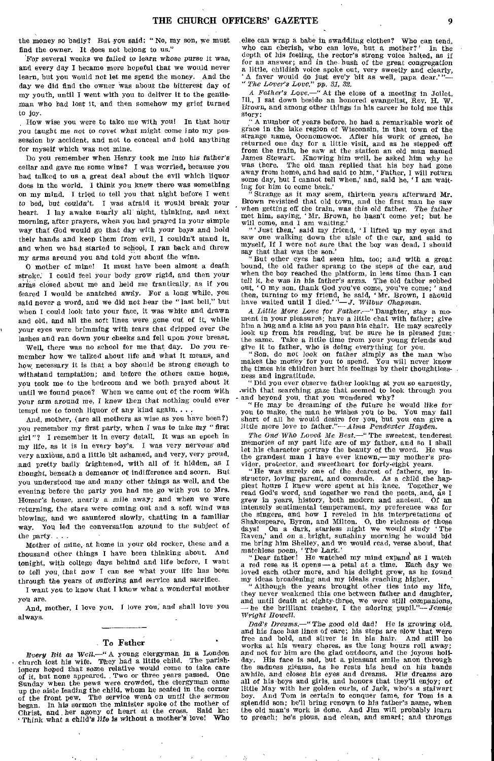the money so badly? But you said; " No, my son, we must find the owner. It does not belong to us."

For several weeks we failed to learn *whose purse* it *was,*  and every day I became more hopeful that we would never learn, but you would not let me spend the money. And the day we did find the owner was about the bitterest day of my youth, until I went with you to deliver it to the gentleman who had lost it, and then somehow my grief turned to joy.

How wise you were to take me with you! In that hour you taught me not to covet what might come Into my possession by accident, and not to conceal and hold anything for myself which was not mine.

Do you remember when Henry took me Into his father's cellar and gave me some wine? I was worried, because you had talked to us a great deal about the evil which liquor does in the world. I think you knew there was something on my mind. I tried to tell you that night before I went to bed, but couldn't. I was afraid it would break your heart. I lay awake nearly all night, thinking, and next morning, after prayers, when you had prayed in your simple way that God would go that day with *your* boys and hold their hands and keep them from evil, I couldn't stand it, and when we had started to school, I ran back and threw my arms around you and told you about the wine.

0 mother of mine! It must have been almost a death stroke; I could feel your body grow rigid, and then your arms closed about me and held me frantically, as if you feared I would be snatched away. For a long while, you said never a word, and we did not hear the "last bell," but when I could look into your face, it was white and drawn and old, and all the soft lines were gone out of it, while your eyes were brimming with tears that dripped over the lashes and ran down your cheeks and fell upon your breast.

Well, there was no school for me that day. Do you remember how we talked about life and what it means, and how necessary it is that a boy should be strong enough to withstand temptation; and before the others came home, you took me to the bedroom and we both prayed about it until we found peace? When we came out of the room with your arm around me, I knew then that nothing could ever tempt me to touch liquor of any kind again... .

And, mother, (are all mothers as wise as you have been?) You remember my first party, when I was to take my "first girl"? I remember it in every detail. It was an epoch in my life, as it is in every boy's. I was very nervous and very anxious, and a little bit ashamed, and very, very proud, and pretty badly frightened, with all of it hidden, as I thought, beneath a demeanor of indifference and scorn. But you understood me and many other things as well, and the evening before the party you had me go with you to Mrs. Homer's house, nearly a mile away; and when we were returning, the stars were coming out and a soft wind was blowing, and we sauntered slowly, chatting in a familiar way. You led the conversation around to the subject of the party... .

Mother of mine, at home in your old rocker, these and a thousand other things I have been thinking about. And tonight, with college days behind and life before, I want to tell you that now I can see what your life has been through the years of suffering and service and sacrifice.

I want you to know that I know what a wonderful mother you are.

And, mother, I love you. I love you, and shall love you always.

# To Father

*Every lilt as Well.—"* A young clergyman in a London church lost his wife. They had a little child. The parishioners hoped that some relative would come to take care of it, but none appeared. Two or three years passed. One Sunday when the pews were crowded, the clergyman came up the aisle leading the child, whom he seated in the corner of the front pew. The service went on until the sermon began. In his sermon the minister spoke of the mother of Christ, and her agony of heart at the cross. Said ' Think *what* a child's *life* Is without a mother's love! 'Who else can wrap a babe in swaddling clothes? Who can tend, who can cherish, who can love, but a mother?' In the depth of his feeling, the rector's strong voice halted, as if for an answer; and in the, hush of the great congregation a little, childish voice spoke out, very sweetly and clearly, ' A laver would do just eve'y bit as well, papa dear.'"— " *The Lover's Love," pp. 31, 32.* 

*A Father's Love.—"* At the close of a meeting in Joliet, HI., I sat down beside an honored evangelist, Rev. H. W. Brown, and among other things in his career he told me this story:

" A number of years before, he had a remarkable work of grace in the lake region of Wisconsin, in that town of the strange name, Oconomowoc. After his work of grace, he returned one day for a little visit, and as he stepped off from the train, he saw at the station an old man named James *Stewart. Knowing* him well, he asked him why he was there. The old man replied that his boy had gone away from home, and had said to him, ' Father, I will return some day, but I cannot tell when,' and, said he, 'I am waiting for him to come back.'

" Strange as it may seem, thirteen years afterward Mr. Brown revisited that old town, and the first man he saw when getting off the train, was *this* old father. The *father*  met him, saying, 'Mr. Brown, he hasn't come yet; but he

will come, and I am waiting.' The same year, say he walking.' "Just then,' said my friend, 'I lifted up my eyes and saw one walking down the aisle of the car, and said to myself, If I were not sure that the boy was dead, I should say that that was the son.'

But other eyes had seen him, too; and with a great bound, the old father sprang to the steps of the car, and when the boy reached the platform, in less time than. I can tell it, he was *in* his father's arms. The old father sobbed out, 'O my son, thank God you've come, you've come; ' and then, turning to my friend, he said, 'Mr. Brown, I should have waited until I died.'"— *J. Wilbur Chapman.* 

*A Little More Love for* Father.—"Daughter, stay a mo-ment in your pleasures; have a little chat with father; give him a hug and a kiss as you pass his chair. He may scarcely look up from his reading, but be sure he is pleased just<br>the same. Take a little time from your young friends and Take a little time from your young friends and

give it to father, who is doing everything for you.<br>
"Son, do not look on father simply as the man who<br>
makes the money' for you to spend. You will never know the times his children hurt his feelings by their thoughtlessness and ingratitude.

" Did you ever observe father looking at you so earnestly, .with that searching gaze that seemed to look through you - and beyond you, that you wondered why?

"He may be dreaming of the future he would like *for*  you to make, the man he wishes you to be. You may fall short of all he would desire for you, but you can give a little more love to father."— *Alma Pendenter Hayden.* 

*The One Who Loved Me Best.—"* The sweetest, tenderest memories of my past life are of my father, and so I shall let his character portray the beauty of the word. He was the grandest man I have ever known,— my mother's pro-

vider, protector, and sweetheart for forty-eight years. " He was surely one of the dearest of fathers, my in-structor, loving parent, and comrade. As a child the happiest hours I knew were spent at his knee. Together we read God's word, and together we read the poets,. and, as I grew in years, history, both modern and ancient. Of an intensely sentimental temperament, my preference was for the singers, and how I reveled in his interpretations of Shakespeare, Byron, and Milton. 0, the richness of those days! On a dark, starless night we would study ' The Raven,' and on a, bright, sunshiny morning he would bid me bring him Shelley, and we would read, verse about, that matchless poem, The Lark.'

" Dear father! He watched my mind expand as I watch a red rose as it opens— a petal at a time. Each day we loved each other more, and his delight grew, as he found my ideas broadening and my ideals reaching higher. " Although the years brought other ties into my life,

they never weakened this one between father and daughter, and until death at eighty-three, we were still companions, — he the brilliant teacher, I the adoring, pupil."— *Jennie Wright Howell.* 

Dad's Dreams.-" The good old dad! He is growing old, and his face has lines of care; his steps are slow that were free and bold, and stilly be free and bold, and silver is in his hair. works at his weary chores, as the long hours roll away; and not for him are the glad outdoors, and the joyous holiday. His face is sad, but a pleasant smile anon through His face is sad, but a pleasant smile anon through the sadness gleams, as he rests his head on his hands awhile, and closes his eyes and dreams. His *dreams* are all of his -boys and girls, and honors that they'll enjoy; of little May with her golden curls, of Jack, who's a stalwart boy. And Tom is certain to conquer fame, for Tom is a splendid son; he'll bring renown to his father's name, when the old man's work is done. And Jim will probably learn to preach; he's pious, and clean, and smart; and throngs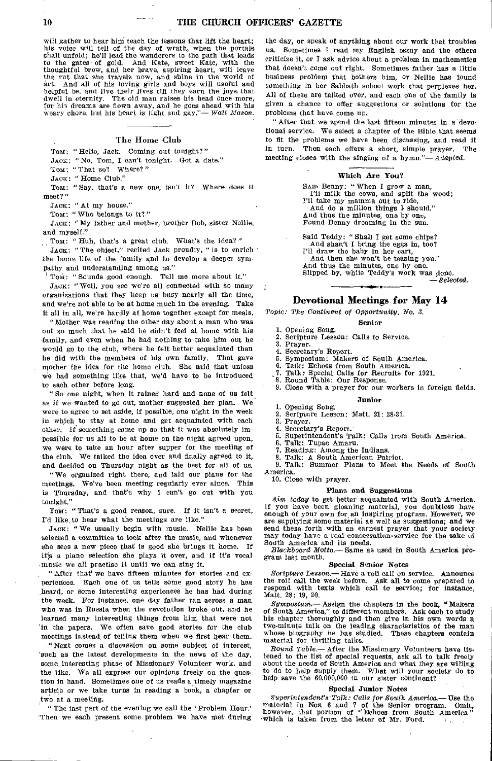will gather to hear him teach the lessons that lift the heart; his voice will tell of the day of wrath, when the portals shall unfold; he'll lead the wanderers to the path that leads to the gates of gold. And Kate, sweet Kate, with the thoughtful brow, and her brave, aspiring heart, will leave the rut that she travels now, and shine in the world of art. And all of his loving girls and boys will useful and helpful be, and live their lives till they earn the joya that dwell in eternity. The old man raises his head once more, for hip dreams are flown away, and he goes ahead with his weary chore, but his heart is light and gay."— *Walt Mason.* 

#### The Home Club

Tom: "Hello, Jack. Coming out tonight?"

JACK: "No, Tom, I can't tonight. Got a date."

Tom: "That so? Where?"

JACK: "Home Ciub."

Tom: "Say, that's a new one, isn't it? Where does it meet?"

JACK: "At my house."

Tom: "Who belongs to it?"

JACK: "My father and mother, brother Bob, sister Nellie, and myself."

Tom: " Huh, that's a great club. What's the idea?" JACK: "The object," recited Jack proudly, "is to enrich '

the home life of the family and to develop a deeper sympathy and understanding among us."

Tom: "Sounds good enough. Tell me more about it."

JACK: "Well, you see we're all connected with so many organizations that they keep us busy nearly all the time, and we're not able to be at home much in the evening. Take it all in all, we're hardly at home together except for meals.

" Mother was reading the other day about a man who was out so much that he said he didn't feel at home with his family, and even when he had nothing to take him out he would go to the club, where he felt better acquainted than he did with the members of his own family. That gave mother the idea for the home club. She said that unless we had something like that, we'd have to be introduced to each other before long.

"So one night, when it rained hard and none of us felt\_ as if we wanted to go out, mother suggested her plan. We were to agree to set aside, if possible, one night in the week in which to stay at home and get acquainted with each other. If something came up so that it was absolutely impossible for us all to be at home on the night agreed upon, we were to take an hour after supper for the meeting of the club. We talked the idea over and finally agreed to it, and decided on Thursday night as the best for all of us.

" We organized right there, and laid our plans for the meetings. We've been meeting regularly ever since. This is Thursday, and that's why I can't go out with you tonight."

Tom: "That's a good reason, sure. If it isn't a secret, I'd like, to hear what the meetings are like."

Taox: " We usually begin with music. Nellie has been selected a committee to look after the music, and whenever she sees a new piece that is good she brings it home. If it's a piano selection she plays it over, and if it's vocal music we all practise it until we can sing it.

"After that' we have fifteen minutes for stories and experiences. Each one of us tells some good story he has heard, or some interesting experiences he has had during the week. For instance, one day father ran across a man who was in Russia when the revolution broke out, and he learned many interesting things from him that were not 'in the papers. We often save good stories for the club meetings instead, of telling them when we first bear them.

" Next comes a discussion on some subject of interest, such as the latest developments in the news of the day, some interesting phase of Missionary Volunteer work, and the like. We all express our opinions freely on the question in hand. Sometimes one of us reads a timely magazine article or we take turns in reading a book, a chapter or two at a meeting.

" The last part of the evening we call the ' Problem Hour.' -Then we each present some problem we have met-during the day, or speak of anything about our work that troubles us. Sometimes I read my English essay and the others criticize it, or I ask advice about a problem in mathematics that doesn't come out right. Sometimes father has a little business problem that bothers him, or Nellie has found something in her Sabbath school work that perplexes her. All of these are talked over, and each one of the family is given a chance to offer suggestions or solutions for the problems that have come up.

"After that we spend the last fifteen minutes in a devotional service. We select a chapter of the Bible that seems to fit the problems we have been discussing, and read it in turn. Then each offers a short, simple prayer. The meeting closes with the singing of a hymn."-Adapted.

#### Which Are You?

SAID Benny: " When I grow a man, I'll milk the cows, and split the wood; I'll take my mamma out to ride, And do a million things I should." And thus the minutes, one by one, Found Benny dreaming in the sun.

Said Teddy: " Shall I get some chips? And shan't I bring the eggs in, too? I'll draw the baby in her cart, And then she won't be teasing you." And thus the minutes, one by one. Slipped by, while Teddy's work was done.

*— Selected.* 

# Devotional Meetings for May 14

*Topic: The Continent of Opportunity,* No. 3.

#### Senior

1. Opening Song.

ł

2. Scripture Lesson: Calls to Service.

3. Prayer. 4. Secretary's Report.

5. Symposium: Makers of South America.

Talk: Echoes from South America.

7. Talk: Special Calls for Recruits for 1921.

8. Round Table: Our Response.

9. Close with a prayer for our workers in foreign fields.

### Junior

1. Opening Song. 2. Scripture Lesson: Matt. 21: 28-31.<br>3. Prayer.

3. Prayer.

4. Secretary's Report.<br>5. Superintendent's T

5. Superintendent's Talk: Calls from South America.

6. Talk: Tupac Amaru. 7. Reading: Among the Indians.

8. Talk: A South American Patriot. 9. Talk: Summer Plans to Meet the Needs of South America.

10. Close with prayer.

#### Plans and Suggestions

*Aim today* to get better acquainted with South America. If you have been gleaning material, you doubtless have enough of your own for an inspiring program. However, we are supplying some material as well as suggestions; and we send these forth with an earnest prayer that your society may today have a real consecration- service for the sake of South America and its needs.

*Blackboard Motto.—* Same as used in South America program last month.

### Special Senior Notes

*Scripture Lesson.—* Have a roll call on service. Announce the roll call the week before. Ask all to come prepared to respond with texts which call to service; for instance, Matt. 28: 19, 20.

*Symposium.—* Assign the chapters in the book, "Makers of South America," to different members. Ask each to study his chapter thoroughly and then give in his own words a two-minute talk on the leading characteristics of the man whose biography he has studied. These chapters contain material for thrilling talks.

*Round Table.—* After the Missionary Volunteers have listened to the list of special requests, ask all to talk freely about the needs of South America and what they are willing to do to help supply them. What will your society do to help save the 60,000,000 in our sister continent?

#### Special Junior Notes

*Superintendent's Talk: Calls for South America.—Use* the material in Nos. 6 and 7 of the Senior program. Omit, however, that portion of "Echoes from South America" which is taken from the letter of Mr. Ford.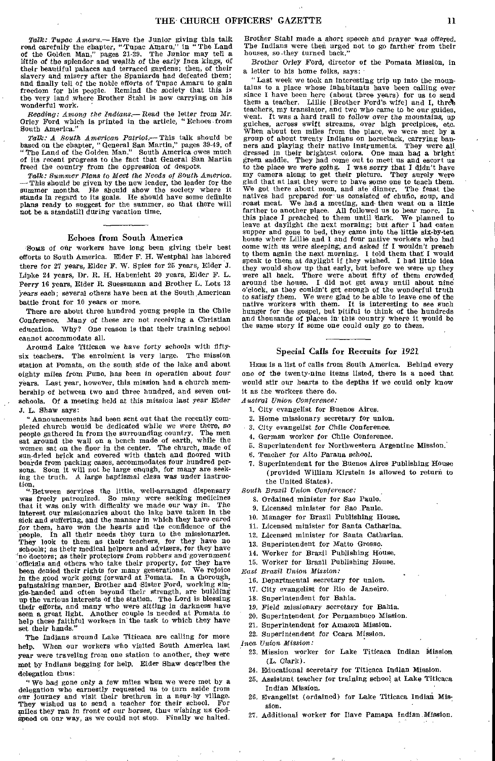Talk: *Tupac Amaru*.—Have the Junior giving this talk read carefully the chapter, "Tupac Amaru," in "The Land of the Golden Man," pages 21-29. The Junior may tell a little of the splendor and wealth *of* the early Inca kings, of their beautiful palaces and terraced gardens; then, of their slavery and misery after the Spaniards had defeated them; and finally tell of the noble efforts of Tupac Amaru to gain freedom for his people. Remind the society that this is the very land where Brother Stahl is now carrying on his wonderful work.

*Reading: Among the Indians,—* Read the letter from Mr. Orley Ford which is printed in the article, "Echoes from South America."

*Talk: A South American Patriot.—* This talk should be based on the chapter, "General San Martin," pages 39-49, of "The Land of the Golden Man." South America owes much of its recent progress to the fact that General San Martin freed the country from the oppression of despots.

*Talk: Summer Plans to Meet the Needs of South America.*  This should be given by the new leader, the leader for the *summer months.* He should show the society where it stands in regard to its goals. He should have some definite plans ready to suggest for the summer, so that there will not be a standstill during vacation time,

#### Echoes from South America

SOME of our workers have long been giving their best efforts to South America. Elder F. H. Westphal has labored there for 27 years, Elder F. W. Spies for 25 years, Elder J. Lipke 24 years, Dr. R. H. Habenicht 20 years, Elder F. L. Perry 16 years, Elder R. Suessmann and Brother L. Lots 13 Years each; several others have been at the south,American battle front for 10 years or more.

There are about three hundred young people in the Chile Conference. *Many* of these are not receiving a Christian education. Why? One reason is that their training school cannot accommodate all.

Around Lake Titicaca we have *forty* schools with fiftysix teachers. The enrolment is very large. The mission station at Pomata, on the south side of the lake and about eighty miles from Puno, *has* been in operation about four years. Last year, however, this mission had a church membership of between two and three hundred, and seven outschools. Of a meeting held at this mission last year Elder J. L. Shaw says:

"Announcements had been sent out that the recently completed church would be dedicated while we were there, so people gathered in from the surrounding country. The men sat around the wall on a bench made of earth, while the women sat on the floor in the center. The church, made of sun-dried brick and covered with thatch and floored with boards from packing cases, accommodates four hundred per-sons. Soon it will not be large enqugh, for many are seeking the truth. A large *baptismal* class was under instruc-

tion, "Between services the little, well-arranged dispensary was freely patronized. So many were seeking medicines that it was only with difficulty we made our way in. The interest our missionaries about the lake have taken in the sick and suffering, and the manner in which they have cared for them, have won the hearts and the confidence of the people. In all their needs they turn to the missionaries. They look to them as their teachers, for they have no schools; as their medical helpers and advisers, for they have 'no doctors; as their protectors from robbers and government officials and others who take their property, for they have<br>been denied their rights for many generations. We rejoice been denied their rights for many generations. We rejoice in the good work going forward at Pomata. In a thorough, painstaking manner, Brother and Sister Ford, working sin: gle-handed and often beyond their strength, are building up the various interests of the station. The Lord is blessing their efforts, and many who were sitting in darkness have seen a great light. Another couple is needed at Pomata to help these faithful workers in the task to which they have set their hands."

The Indians around Lake Titicaca are calling for more help, When our workers who visited South America last year were traveling from one station to another, they were met by Indians begging for help. Elder Shaw describes the delegation thus:

"We bad gone only a few miles when we were met by a delegation who earnestly requested us to turn aside from our journey and visit their brethren in a near-by village. They wished us to send a teacher for their school. For miles they ran in front of our horses, thus wishing us God speed on our way, as we could not stop. Finally we halted.

Brother Stahl made a short speech and prayer was offered. The Indians were then urged not to go farther' from their houses, so-they turned back."

Brother Orley Ford, director of the Pomata Mission, in a letter to his home folks, says:

"Last week we took an interesting trip up into the mountains to a place whose inhabitants have been calling ever since I have been here (about three years) for us to send them a teacher. Lillie [Brother Ford's wife] and I, three teachers, my translator, and two who came to be our guides, went. It was a hard trail to follow over the mountains, up gulches, across swift streams, over high precipices, etc. When about ten miles from the place, we were met by a group of about twenty Indians on horseback, carrying ban-ners and playing their native instruments. They were all. dressed in their brightest colors. One man had a bright green saddle. They had come out to meet us and escort us to the place we were *going.* I was sorry that I didn't have my camera along to get their picture. They surely were glad that at last they were to have some one to teach them.<br>We got there about noon, and ate dinner. The feast the<br>natives had prepared for us consisted of chuflo, soup, and roast meat. We had a meeting, and- then went on a little farther to another place. All followed us to hear more. In this place I preached to them until 'dark. We planned to leave at daylight the next morning; but after I had eaten supper and gone to bed, they came into the little six-by-ten house where Lillie and I and four native workers who had come with us were *sleeping,* and asked if I wouldn't preach to them again the next morning. I told them that I would speak to them at daylight if they wished. I had little idea they would show up that early, but before we were up they were all back. There were about fifty of them crowded around the house. I did not get away until about nine o'clock, as they couldn't get enough of the wonderful truth to *satisfy them. We were glad* to be able to leave one of the native workers with them. It is interesting to see such hunger for the gospel, but pitiful to think of the hundreds and thousands of places in' this country where it would be the same story if some one could only go to them.

#### Special Calls for Recruits for 1921

HERE is a list of calls from South America. Behind every one of the twenty-nine items listed, there is a need that would stir our hearts to the depths if we could only know it as the workers there do.

*Austral Union Conference:* 

- 1. City evangelist for Buenos Aires.
- 2. Home missionary secretary for union.
- 3. City evangelist *for Chile* Conference.
- 4. German worker for Chile Conference.
- 5. Superintendent for Northwestern Argentine Mission:
- 6. Teacher for Alto Parana school.
- 7. Superintendent for the Buenos Aires Publishing House (provided William Kirstein is allowed to return to the United States).

*South Brazil Union Conference:* 

- 8. Ordained minister for Sao Paulo.
- 9. Licensed minister for Sao Paulo.
- 10. Manager for Brazil Publishing House.
- 11. Licensed minister for Santa Catharine.
- 12. Licensed minister for Santa Catharine.
- 13. Superintendent for Matto Grosso.
- 14. Worker for Brazil Publishing House.
- 15. Worker for Brazil Publishing House.
- *East Brazil Union Mission:*
- 
- 16. Departmental secretary for union.
- 17. City evangelist for Rio de Janeiro.
- 18. Superintendent for Bahia.
- 19. Field missionary secretary for Bahia.
- 20. Superintendent for Pernambuco Mission.
- 21, Superintendent for Amazon Mission.
- 22. Superintendent for Ceara Mission.

Inca *Union Mission:* 

- 23. Mission worker for Lake Titicaca Indian Mission (L. Clark).
- 24. Educational secretary for Titicaca Indian Mission.
- 25. Assistant teacher for training school at Lake Titicaca Indian Mission.
- 26. Evangelist (ordained) for Lake Titicaca Indian Mission.
- 27. Additional worker for Have Pamapa Indian Mission.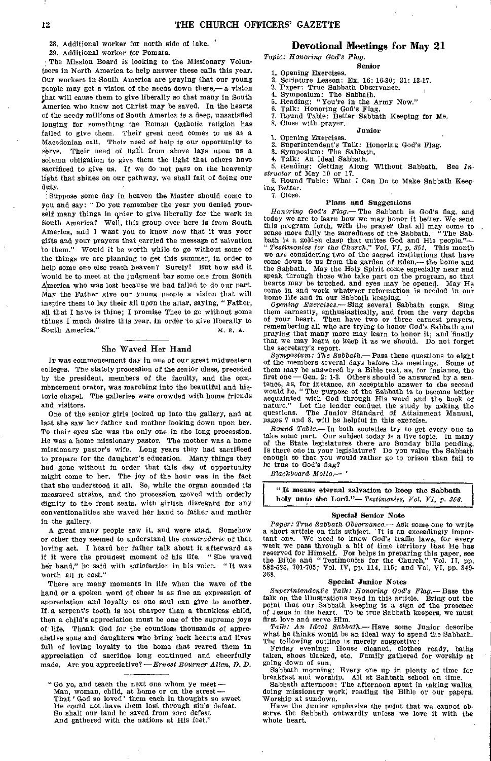28. Additional worker for north side of lake.

29. Additional worker for Pomata.

The Mission Board is looking to the Missionary Volunteers in North America to help answer these calls this year. Our workers in South America are praying that our young people may get a vision of the needs down there,- a vision that will cause them to give liberally so that many in South America who know not Christ may be saved. In the hearts of the needy millions of South America is a deep, unsatisfied longing for something the Roman Catholic religion has failed to give them. Their great need comes to us as a Macedonian call. Their need of help is our opportunity to serve. Their need of light from above lays upon us a solemn obligation to give them the light that others have sacrificed to give us. If we do not pass on the heavenly light that shines on our pathway, we shall fail of doing our duty.

Suppose some day in heaven the Master should come to you and say: " Do you remember the year you denied yourself many things in order to give liberally for the work in South America? Well, this group over here is from South America, and I want you to know now that it was your gifts and your prayers that carried the message of salvation to them." Would it be worth while to go without some of the things we are planning to get this summer, in order to help some one else reach heaven? Surely! But how sad it Would be to meet at the judgment bar some one from South America who was lost because we had failed to do our part. May the Father give our young people a vision that will inspire them to lay their all upon the altar, saying, "Father, all that I have is thine; I promise Thee to go without some things I much desire this year, in order to give liberally to South America." M. E. A.

#### She Waved Her Hand

Ir was commencement day in one of our great midwestern colleges. The stately procession of the senior class, preceded by the president, members of the faculty, and the commencement orator, was marching into the beautiful and historic chapel. The galleries were crowded with home friends and visitors.

One of the senior girls looked up into the gallery, and at last she saw her father and mother looking down upon her. TO their eyes she was the only one in the long procession. He was a home missionary pastor. The mother was a home missionary pastor's wife. Long years they had sacrificed to prepare for the daughter's education. Many things they had gone without in order that this day of opportunity might come to her. The joy of the hour was in the fact that she understood it all. So, while the organ sounded its measured strains, and the procession moved with orderly dignity to the front seats, with girlish disregard for any conventionalities she waved her hand to father and mother in the gallery.

A great many people saw it, and were glad. Somehow or other they seemed to understand the *camaraderie* of that loving act. I heard her father talk about it afterward as if it were the proudest moment of his life. " She waved her hand," he said with satisfaction in his voice. "It was worth all it cost."

There are many moments in life when the wave of the hand or a spoken word of cheer is as fine an expression of appreciation and loyalty as one soul can give to another. If a serpent's tooth is not sharper than a thankless child, then a child's appreciation must be one of the supreme joys of life. Thank God for the countless thousands of appreciative sons and daughters who bring back hearts and lives full of loving loyalty to the home that reared them In appreciation of sacrifice long continued and cheerfully made. Are you appreciative?— *Ernest Bourner Allen,* D. D.

# Devotional Meetings for May 21

# *Topic: Honoring God's Flag.*

- Senior 1. Opening Exercises.
- 2. Scripture Lesson: Ex, 16: 16-30; 31: 13-17.
- 3, Paper: True Sabbath Observance. 4. Symposium: The Sabbath.
- 
- 5. Reading: "You're in the Army Now."
- 6. Talk: Honoring God's Flag.
- 7. Round Table: Better Sabbath Keeping for Me. 8. Close with prayer.
	- Junior
- 1. Opening Exercises.
- 2. Superintendent's Talk: Honoring God's Flag.
- 3. Symposium: The Sabbath.
- 
- 4. Talk: An Ideal Sabbath. 5, Reading: Getting Along Without Sabbath. See *in-structor* of May 10 or 17.

6. Round Table: What I Can Do to Make Sabbath Keeping Better. 7. Close.

# Plans and Suggestions

*Honoring God's Flag.—* The Sabbath is God's flag, and today we are to learn how we may honor it better. We send this program forth, with the prayer that all may come to sense more fully the sacredness of the Sabbath. "The Sabbath is a golden clasp that unites God and His people."—<br>"*Testimonies for the Church*," Vol. VI, p. 351. This month we are considering two of the sacred institutions that have come down to us from the garden of Eden,— the home and the Sabbath. May the Holy Spirit come especially near and speak through those who take part on the program, so that hearts may be touched, and eyes may be opened. May He come in and work whatever reformation is needed in our home life and in our Sabbath keeping.

*Opening Exercises.—* Sing several Sabbath songs. Sing them earnestly, enthusiastically, and from the very depths of your heart. Then have two or three earnest prayers, remembering all who are trying to honor God's Sabbath and praying that many more may learn to honor it; and 'finally that we may learn to keep it as we should. Do not forget the secretary's report.

*Symposium: The Sabbath.—* Pass these questions to eight of the members several days before the meetings. Some of them may be answered by a Bible text, as, for instance, the first one—Gen. 2: 1-3. Others should be answered by a sentence, as, for instance, an acceptable answer to the second would be, "The purpose of the Sabbath is to become better acquainted with God through His word and the book of nature." Let the leader conduct the study by asking the nature." Let the leader conduct the study by asking the questions. The Junior Standard of Attainment Manual, pages 7 and 8, will be helpful in this exercise.

*Round Table.—* In both societies try to get every one to take some part. Our subject today is a live topic. In many of the State legislatures there are Sunday bills pending. Is there one in your legislature? Do you value the Sabbath enough so that you would rather go to prison than fail to be true to God's flag?

*Blackboard Motto.— '* 

"It means eternal salvation to keep the Sabbath holy unto the Lord."-*Testimonies, Vol. VI*, p. 356.

#### Special Senior Note

*Paper: True Sabbath Observance.—* Ask some one to write a short article on this subject. It is an exceedingly important one. We need to know God's traffic laws, for every week we pass through a bit of time territory that He has<br>reserved for Himself. For helps in preparing this paper, see<br>the Bible and "Testimonies for the Church," Vol. II, pp.<br>582-585, 701-705; Vol. IV, pp. 114, 115; and Vo 368.

#### Special Junior Notes

*Superintendent's Talk: Honoring God's Flag.—* Base the talk on the illustrations used in this article. Bring out the Point that our Sabbath keeping is a sign of the presence of Jesus in the heart. To be true Sabbath keepers, we must first love and serve Him.

*Talk: An ideal Sabbath.--*Have some Junior describe what he thinks would be an ideal way to spend the Sabbath.

The following outline is merely suggestive: Friday evening: House cleaned, clothes ready, baths taken, shoes blacked, etc. Family gathered for worship at going down of sun.

Sabbath morning: Every one up in plenty of time for breakfast and worship. All at Sabbath school on time.

Sabbath afternoon: The afternoon spent in taking walks, doing missionary work; reading the Bible or our papers. Worship at sundown.

Have the Junior emphasize the point that we cannot observe the Sabbath outwardly unless we love it with the whole heart.

<sup>&</sup>quot;Go ye, and teach the next one whom ye meet  $\cdot$ Man, woman, child, at home or on the street—

That ' God so loved' them each in thoughts so sweet He could not have them lost through sin's defeat. So shall our land be saved from sore defeat And gathered with the nations at His feet."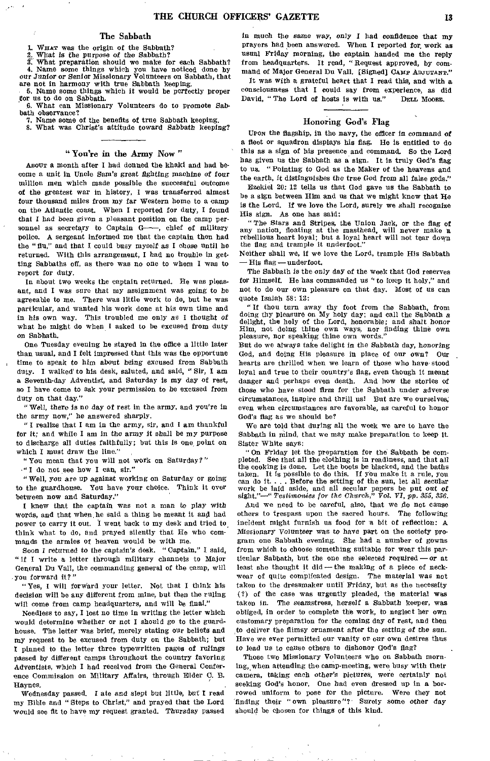#### The Sabbath

1. WHAT was the origin of the Sabbath?<br>2. What is the purpose of the Sabbath?<br>3. What preparation should we make for What is the purpose of the Sabbath?

What preparation should we make for each Sabbath? 4. Name some things which you have noticed done by *our Junior or* Senior Missionary Volunteers on Sabbath, that are not in harmony with true Sabbath keeping.

5. Name some things which it would be perfectly proper for us to do on Sabbath.

6. What can Missionary Volunteers do to promote Sabbath observance?

7. Name some of the benefits of true Sabbath keeping.

8. What was Christ's attitude toward *Sabbath* keeping?

# " You're in the Army Now "

ABOUT a month after I had donned the khaki and had become a unit in Uncle *Sam's great lighting machine* of four million men which made possible the successful outcome of the greatest war in history, I was transferred almost four thousand miles from my far Western home to a camp on the Atlantic coast. When I reported for duty, I found that I had been given a pleasant position on the camp personnel as secretary to Captain G-, chief of military police. A sergeant informed me that the captain then had the "flu," and that I could busy myself as I chose until he returned. With this arrangement, I had no trouble in getting Sabbaths off, as there was no one to whom I was to report for duty.

In about two weeks the captain returned. He was pleasant, and I was sure that *my* assignment was going to be agreeable to me. There was little work to do, but he was particular, and wanted his work done at his own time and in his own way. This troubled me only as I thought of what he might do when I asked to be excused from duty on Sabbath.

One Tuesday evening he stayed in the office a little later than usual, and I felt impressed that this was the opportune time to speak to him about *being* excused from Sabbath duty. I walked' to his desk, saluted, and said, "Sir, I am a Seventh-day Adventist, and Saturday is my day of rest, so I have come to ask your permission to be excused from duty on that day."

" Well, there is no day of rest in the army, and you're in the army now," he answered sharply.

" I realize that I am in the army, sir, and I am thankful for it; and while I am in the *army* it shall be my purpose to discharge all duties faithfully; but this is one, point on which I must draw the line."

"You mean that you will not work on Saturday?"

I do not see how I can, sir."

" Well, you *are up* against working on Saturday or going to the guardhouse. You have your choice. Think it over between now and Saturday."

I knew that the captain was not a *man* to play with words, and that when he said a thing he meant it and had power to carry it out. I went back to my desk and tried to, think what to do, and prayed silently that He who commands the armies of heaven would be with me.

Soon I returned to the captain's desk. " Captain," I said, " if I write a letter through military channels to Major General Du Vali, the commanding general of the camp, will you forward it?"

"Yes, I will forward your letter. Not that I think his decision will be any different from mine, but then the ruling will come from camp headquarters, and will be final."

Needless to say, I lost no time in writing the letter which would determine whether *or* not I should go to the guardhouse. The letter was brief, merely stating our beliefs and my request to be excused from duty on the Sabbath; but I pinned to the letter three typewritten pages of rulings passed by different camps throughout the country favoring Adventists, which I had received from the General Conference Commission on Military Affairs, through Elder C. B. Haynes.

Wednesday passed. I ate and slept but little, but I read my Bible and " Steps to Christ," and prayed that the Lord -would see fit to have my request granted. Thursday passed

in much the same way, only I had confidence that my prayers had been answered. When I reported for, work as usual Friday morning, the captain handed me the reply from headquarters. It read, "Request approved, by command of Major General Du Vail. [Signed] CAMP ADJUTANT." It was with a grateful heart that I read this, and with a consciousness that I could say from experience, as did David, "The Lord of hosts is with us." DELL Moore.

### Honoring God's Flag

UPON the flagship, in the navy, the officer in command *of*  a fleet or squadron displays his flag. He is entitled to do this as a sign of his presence and command. So the Lord has given us the Sabbath as a sign. It is truly God's flag to us. "Pointing to God as the Maker of the heavens and the earth, it distinguishes the true God from all false gods."

Ezekiel 20; 12 tells us that God gave us the Sabbath to be a sign between Him and us that we might know that He is the Lord. If we love the Lord, surely we shall recognize His sign. As one has said:

"The Stars and Stripes, the Union Jack, or the flag of any nation, floating at the masthead, will never make a rebellious heart loyal; but a loyal heart will not tear down the flag and trample it underfoot."

Neither shall we, if we love the Lord, trample His Sabbath —His flag—underfoot.

The Sabbath is the *only* day of the week that God reserves for Himself. He has commanded us " to keep it holy," and not to do our own pleasure on that day. Most of us can quote Isaiah 58: 13:

" If thou turn away thy foot from the Sabbath, from doing thy pleasure on My holy day; and call the Sabbath a delight, the holy of the Lord, honorable; and shalt *honor*  Him, not doing thine own ways, nor finding thine own pleasure, nor speaking thine own words."

But do we always take delight in the Sabbath day, *honoring*  Gad, and doing His pleasure in place of our own? Our hearts are thrilled when we learn of those who have stood loyal and true to their country's flag, even though it meant danger and perhaps even death. And how the stories of those who have stood firm for the Sabbath under adverse circumstances, inspire and thrill us! But are we ourselves; even when circumstances are favorable, as careful to honor God's flag as we should be?

We are told that during all the week we are to have the Sabbath in mind, that we may make preparation to keep it. Sister White says:

"On Friday let the preparation for the Sabbath be completed. See that all the clothing is in readiness, and that all the cooking is done. Let the boots be blacked, and the baths taken. It is possible to do this. If you make it a rule, you It is possible to do this. If you make it a rule, you can do it.. .. Before the setting of the sun, let all secular work be laid aside, and all secular papers be put out of sight."—" *Testimonies for the Church," Vol. VI,* pp. 355, *356.* 

And we need to be careful, also, that we do not cause others to trespass upon the sacred hours. The following incident might furnish us food for a bit of reflection: A Missionary Volunteer was to have part on the society program one Sabbath evening. She had a number of gowns from which to choose something suitable for wear this particular Sabbath, but the one she selected required *—or* at least she thought it did—the making of a piece of neckwear of quite complicated design. The material was not taken to the dressmaker until Friday, but as the necessity (?) of the case was urgently pleaded, the material was taken in. The *seamstress,* herself a Sabbath keeper, was obliged, in order to complete the work, to neglect her own customary preparation for the coming day of rest, and then to deliver the flimsy ornament after the setting of the sun. Have we ever permitted our vanity or our own desires thus *to* lead us to cause others to dishonor God's flag?

Those two Missionary Volunteers who on Sabbath morning, when attending the camp-meeting, were busy with their camera, taking each other's pictures, were certainly not seeking God's honor. One had even dressed up in a borrowed uniform to pose for the picture. Were they not finding their "own pleasure"? Surely some other day should be chosen for things of this kind.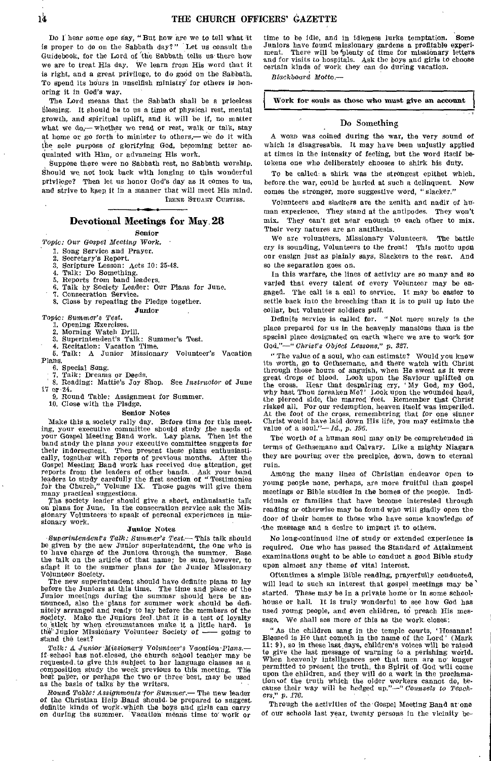Do I hear some one day, "But how are we to tell what It is proper to do on the Sabbath day?" Let us consult the Guidebook, for the Lord of 'the Sabbath tells us there how we are to treat His day. We learn from His word that it is right, and a great privilege, to do good on the Sabbath. To spend its hours in unselfish ministry for others is honoring it in God's way.

The Lord means that the Sabbath shall be a priceless blessing. It should be to us a time of physical rest, mental growth, and spiritual uplift, and it will be if, no matter what we do,—whether we read or rest, walk or talk, stay at home or go forth to minister to others,— we do it with the sole purpose of glorifying God, becoming better acquainted with Him, or advancing His work.

Suppose there were no Sabbath rest, no Sabbath worship, Should we. not look back with longing to this wonderful privilege? Then let us honor God's day as it comes to us, and strive to keep it in a manner that will meet His mind. IRENE STUART CURTISS.

# Devotional Meetings for May.28

#### Senior

*Topic:* Our *Gospel Meeting Work.* 

- 1. Song Service and Prayer.
- 2. Secretary's Report.
- 3. Scripture Lesson: Acts 10: 25-48.
- 
- 
- 
- Consecration Service.

#### 8. Close by repeating the Pledge together.

**Junior** 

Topic: Summer's Test.

1. Opening Exercises.

2. Morning Watch Drill.

3. Superintendent's Talk: Summer's Test.

4. Recitation: Vacation Time. 5. Talk: A Junior Missionary Volunteer's Vacation Plans.

6. Special Song.

7. Talk: Dreams or Deeds.

8. Reading: Mattie's Joy Shop. See *Instructor* of June 17 or-24.

9. Round Table: Assignment for Summer.

10. Close with the Pledge.

#### Senior Notes

Make this a society rally day. Before tims for this meeting, your executive committee should study the nseds of your Gospel Meeting Band work. Lay plans. Then let the band study the plans your executive committee suggests for their indorsement. Then present these plans enthusiastically, together with reports of previous months. After the Gospel Meeting Band work has received due attention, get reports from the leaders of other bands. Ask your band leaders to study carefully the first section of " Testimonies for the Church," Volume IX. Those pages will give them<br>many practical suggestions.<br>The society leader should give a short, enthusiastic talk<br>on plans for June. In the consecration service ask the Mis-

sionary Volunteers to speak of personal experiences in missionary work.

#### Junior Notes

*Superintendent's Talk: Summer's Test.—* This talk should be given by the new Junior superintendent, the one who is to have charge of the Juniors through the summer. Base the talk on the article of that name; be sure, however, to adapt it to the summer plans for the Junior Missionary Vo'unteer Society.

The new superintendent should have definite plans to lay before the Juniors at this time. The time and place of the Junior meetings during the summer should here be announced, also the 'plans for summer work should be definitely arranged and ready to lay before the members of the society. Make the Juniors feel. that it is a test of loyalty to stick by when circumstances make it a little hard. Is tfig-Junior Missionary Volunteer Society of — going to stand the test?

Talk: A Junior-Missionary Volunteer's Vacation-Plans.— If school has not, closed, the church school teacher may be requested. to give this subject to her language classes as a composition study the week previous to this meeting. The best paper, or perhaps the two or three best, may be used as the basis of talks by the writers.

*Round Table: Assignments tor Summer.—* The new leader of the Christian Help Band should be prepared to suggest. definite kinds of work.which the boys and girls can carry on during the summer. Vacation' means time to' work or time to be idle, and in idleness lurks temptation. Some Juniors have found missionary gardens a profitable experiment. There will be plenty of time for missionary letters and for visits to hospitals. Ask the boys and girls to choose certain kinds of work they can do during vacation.

*Blackboard* Motto.—

Work for souls as those who must give an account

#### Do Something

A WORD was coined during the war, the very sound of which is disagresabls. It may have been unjustly applied at times in the intensity of feeling, but the word itself betokens one who deliberately chooses to shirk his duty.

To be called: a shirk was the strongest epithet which, before the war, could be hurled at such a delinquent. Now comes the stronger, more suggestive word, "slacker."

Volunteers and slackers are the zenith and nadir of human experience. They stand at the antipodes. They won't mix. They can't get near enough to each other to mix. Their very natures are an antithesis.

We are volunteers, Missionary Volunteers. The battle cry is sounding, Volunteers to the front! This motto upon our ensign just as plainly says, Slackers to the rear. And so the separation goes on.

In this warfare, the lines of activity are so many and so varied that every talent of every Volunteer may be engaged. The call is a call to service. It may be easier to settle back into the breeching than it is to pull up into the collar, but volunteer soldiers pull.

Definite service is called for. "Not more surely is the place prepared for us in the heavenly mansions than is the special place designated on earth where we are to work for God."—" *Christ's Object Lessons," p. 327.* 

" The value of a soul, who can estimate? Would you know its worth, go to Gethsemane, and there watch with Christ through those hours of anguish, when He sweat as it were great drops of blood. Look upon the Saviour uplifted on the cross. Hear that despairing cry, 'My God, my God, why hast Thou forsaken Me?' Look upon the wounded head, the pierced side, the marred feet. Remember that Christ risked all. For our redemption, heaven itself was imperiled. At the foot of the cross, remembering that for one sinner Christ would have laid down His life, you may estimate the value of a soul."— *Id.,* p. *196.* 

The worth of a human soul may only be comprehended in terms of Gethsemane and Calvary. Like a mighty Niagara they are pouring over the precipice, down, down to eternal ruin.

Among the many lines of Christian endeavor open to young people none, perhaps, are more fruitful than gospel meetings or Bible studies in the homes of the people. Individuals or families that have become interested through reading or otherwise may be found who will giadly open the door of their homes to those who have some knowledge of the message and a desire to impart it to others.

No long-continued line of study or extended experience is required. One who has passed the Standard of Attainment examinations ought to be able to conduct a good Bible study upon almost any theme of vital interest.

Oftentimes a simple Bible reading, prayerfully conducted, will lead to such an interest that gospel meetings may be started, These may be in a private home or in some school: house or hall. It is truly wonderful to see how God has used young people, and even children, to preach His message. We shall ses more of this as the work closes:

"As the children sang in the temple courts, 'Hosanna! Blessed is He that cometh in the name of the Lord' (Mark 11: 91, so in these last days, children's voices will be raised to give the last message of warning to a perishing world. When heavenly intelligences see that men are no longer permitted to present the truth, the Spirit of God will come upon the children, and they will do a work in the proclamation of the truth which the older workers cannot do, because their way will be hedged up."—" *Counsels to Teachers," p. 176.* 

Through the activities of the 'Gospel Meeting Band at one of our schools last year, twenty persons in the vicinity be-

4. Talk: Do Something. 5. Reports from band leaders. 6. Talk by Society Leader: Our Plans for June.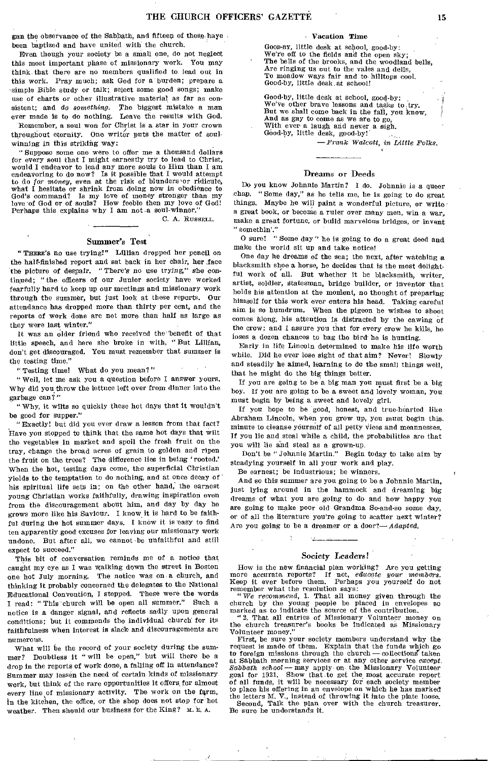gan the observance of the Sabbath, and fifteen of these haye been baptized and have united with the church.

Even though your society be a small one, do not neglect this most important phase of missionary work. You may think that there are no members qualified to, lead out in this work. Pray much; ask God for a burden; prepare a simple Bible study or talk; select some good songs; make use of charts or other illustrative material as far as consistent; and *do something.* The biggest mistake a man ever made is to do nothing. Leave the results with God.

Remember, a soul won for Christ is a star in your crown throughout eternity. One writer puts the matter of soulwinning in this striking way:

" Suppose some one were to offer me a thousand dollars for every soul that I might earnestly try to lead to Christ, would I endeavor to lead any more souls to Him than I am endeavoring to do now? Is it possible that I would attempt to do *for money*, even at the risk of blunders or ridicule, what I hesitate or shrink from doing now in obedience to God's command? Is my love of money stronger than my love of God or of souls? How feeble then my love of God! Perhaps this explains why I am not a soul-winner."

C. A. RUSSELL.

### Summer's Test

" THERE'S no use trying!" Lillian dropped her pencil on the half-finished report and sat back in her chair, her face the picture of despair. "There's no use *trying," she* continued; "the officers of our Junior society have worked fearfully hard to keep up our meetings and missionary work through the summer, but just look at these reports. Our attendance has dropped more than thirty per cent, and the reports of work done are not more than half as large as they were last winter."

It was an older friend who received the-benefit of that little speech, and here she broke in with, "But Lillian, don't get discouraged. You must remember that summer is the testing time."

"Testing time! What do you mean?"

" Well, let me ask you a question before I answer yours. Why did you throw the lettuce left over from dinner into the garbage can?"

" Why, it wilts so quickly these hot days that it wouldn't be good for supper."

"Exactly! but did you ever draw a lesson from that fact? Have you stopped to think that the same hot days that wilt the vegetables in market and spoil the fresh fruit on the tray, change the broad acres of grain to golden and ripen the fruit on the trees? The difference lies in being 'rooted.' When the hot, testing days come, the superficial Christian yields to the temptation to do nothing, and at once decay of ' his spiritual life sets in; on the other hand, the earnest young Christian works faithfully, drawing inspiration even from the discouragement about him, and day by day he grows more like his Saviour. I know it is hard to be faithful during the hot summer days. I know it is easy to find ten apparently good excuses for leaving our missionary work undone. But after all, we cannot be unfaithful and still expect to succeed."

This bit of conversation reminds me of a notice that caught my eye as I was walking down the street in Boston one hot July morning. The notice was on a church, and thinking it probably concerned the delegates to the National Educational Convention, I stopped. These were the words I read: " This church will be open all summer." Such a notice is a danger signal, and reflects sadly upon general conditions; but it commends the individual church for its faithfulness when interest is slack and discouragements are numerous.

What will be the record of your society during the summer? Doubtless it "will be open," but will there be a drop in the reports of work done, a falling off in attendance? Summer may lessen the need of certain kinds of missionary work, but think of the rare opportunities it offers, for almost every line of missionary activity. The work on the farm, in the kitchen, the office, or the shop does not stop for hot weather. Then should our business for the King? M. E. A,

#### • Vacation Time

GOOD-BY, little desk at school, good-by: We're off to the fields and the open sky; The bells of the brooks, and the woodland bells, Are ringing us out to the vales and dells, To meadow ways fair and to- hilltops cool. Good-by, little desk, at school!

Good-by, little desk at school, good-by: We've other brave lessons and tasks to, try. But we shall come back in the fall, you know, And as gay to come as we are to go, With ever a laugh and never a sigh. Good-by, little desk, good-by!

*—Frank Walcott, in Little Folks.* 

#### Dreams or Deeds

Do you know Johnnie Martin? I do. Johnnie is a queer chap. " Some day," as he tells me, he is going to do great things. Maybe he will paint a wonderful picture, or writea great book, or become a ruler over many men, win a war, make a great fortune, or build marvelous bridges, or invent somethin'.'

O sure! "Some day" he is going to do a great deed and make the world sit up and take notice!

One day he dreams of the sea; the next, after watching a blacksmith shoe a horse, he decides that is the most delightful work of all. But whether it be blacksmith, writer, artist, soldier, statesman, bridge builder, or inventor that holds his attention at the moment, no thought of preparing himself for this work ever enters his head. Taking careful aim is so humdrum. When the pigeon he wishes to shoot comes along, his attention is distracted by the cawing of the crow; and I assure you that for every crow he kills, he loses a dozen chances to bag the bird he is hunting.

Early in life Lincoln determined to make his life worth while. Did he ever lose sight of that aim? Never! Slowly and steadily he aimed, learning to do the small things well, that he might do the big things better.

If you are going to be a big man you must first be a big boy. If you are going to be a sweet and lovely woman, you must begin by being a sweet and lovely girl.

If you hope to be good, honest, and true-hearted like Abraham Lincoln, when you grow up, you must begin this. minute to cleanse yourself of all petty vices and meannesses. If you lie and steal while a child, the probabilities are that you will lie and steal as a grown-up.

Don't be " Johnnie Martin." Begin today to take aim by steadying yourself in all your work and play.

Be earnest; be industrious; be winners.

And so this summer are you going to be a Johnnie Martin, just lying around in the hammock and dreaming big dreams of what you are going to do and how happy you are going to make poor old Grandma So-and-so some day, or of all the literature you're going to scatter next winter? Are you going to be a dreamer or a doer?— *Adapted.* 

#### Society Leaders!

How is the new financial plan working? Are you getting more accurate reports? If not, *educate yowr members.*  Keep it ever before them. Perhaps you yourself do not remember what the resolution says:

*"We recommend,* 1. That all money given through the church by the young people be placed in envelopes so marked as to indicate the source of the contribution. "2. That all entries of Missionary Volunteer money on

the church treasurer's books be indicated as Missionary Volunteer money."

First, be sure your society members understand why the request is made of them. Explain that the funds which go to foreign missions through the church — collections taken at Sabbath morning services or at any other service *except.*  Sabbath school — may apply on the Missionary Volunteer goal for 1921. Show that to get the most accurate report Show that to get the most accurate report of all funds, it will be necessary for each society member to place his offering in an envelope on which he has marked the letters M. V., instead of throwing it into the plate loose. Second, Talk the plan over with the church treasurer. Be sure he understands it.